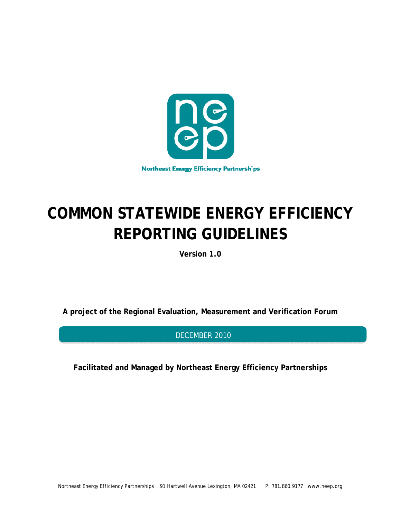

# **COMMON STATEWIDE ENERGY EFFICIENCY REPORTING GUIDELINES**

**Version 1.0** 

**A project of the Regional Evaluation, Measurement and Verification Forum** 

DECEMBER 2010

**Facilitated and Managed by Northeast Energy Efficiency Partnerships**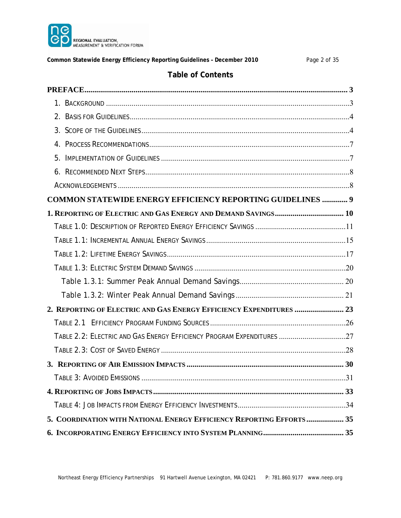

**Common Statewide Energy Efficiency Reporting Guidelines – December 2010** Page 2 of 35

# **Table of Contents**

| COMMON STATEWIDE ENERGY EFFICIENCY REPORTING GUIDELINES  9            |  |
|-----------------------------------------------------------------------|--|
|                                                                       |  |
|                                                                       |  |
|                                                                       |  |
|                                                                       |  |
|                                                                       |  |
|                                                                       |  |
|                                                                       |  |
| 2. REPORTING OF ELECTRIC AND GAS ENERGY EFFICIENCY EXPENDITURES  23   |  |
|                                                                       |  |
| TABLE 2.2: ELECTRIC AND GAS ENERGY EFFICIENCY PROGRAM EXPENDITURES 27 |  |
|                                                                       |  |
|                                                                       |  |
|                                                                       |  |
|                                                                       |  |
|                                                                       |  |
| 5. COORDINATION WITH NATIONAL ENERGY EFFICIENCY REPORTING EFFORTS  35 |  |
|                                                                       |  |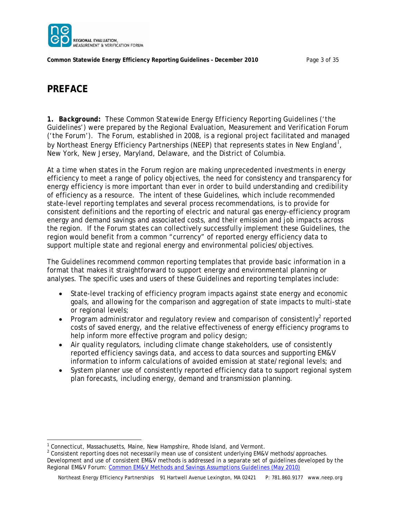

**Common Statewide Energy Efficiency Reporting Guidelines – December 2010** Page 3 of 35

# **PREFACE**

*1. Background:* These *Common Statewide Energy Efficiency Reporting Guidelines* ('the Guidelines') were prepared by the Regional Evaluation, Measurement and Verification Forum ('the Forum'). The Forum, established in 2008, is a regional project facilitated and managed by Northeast Energy Efficiency Partnerships (NEEP) that represents states in New England<sup>1</sup>, New York, New Jersey, Maryland, Delaware, and the District of Columbia.

At a time when states in the Forum region are making unprecedented investments in energy efficiency to meet a range of policy objectives, the need for consistency and transparency for energy efficiency is more important than ever in order to build understanding and credibility of efficiency as a resource. The intent of these Guidelines, which include recommended state-level reporting templates and several process recommendations, is to provide for consistent definitions and the reporting of electric and natural gas energy-efficiency program energy and demand savings and associated costs, and their emission and job impacts across the region. If the Forum states can collectively successfully implement these Guidelines, the region would benefit from a common "currency" of reported energy efficiency data to support multiple state and regional energy and environmental policies/objectives.

The Guidelines recommend common reporting templates that provide basic information in a format that makes it straightforward to support energy and environmental planning or analyses. The specific uses and users of these Guidelines and reporting templates include:

- State-level tracking of efficiency program impacts against state energy and economic goals, and allowing for the comparison and aggregation of state impacts to multi-state or regional levels;
- Program administrator and regulatory review and comparison of consistently<sup>2</sup> reported costs of saved energy, and the relative effectiveness of energy efficiency programs to help inform more effective program and policy design;
- Air quality regulators, including climate change stakeholders, use of consistently reported efficiency savings data, and access to data sources and supporting EM&V information to inform calculations of avoided emission at state/regional levels; and
- System planner use of consistently reported efficiency data to support regional system plan forecasts, including energy, demand and transmission planning.

<sup>&</sup>lt;sup>1</sup> Connecticut, Massachusetts, Maine, New Hampshire, Rhode Island, and Vermont.<br><sup>2</sup> Consistent reporting does not peoessarily mean use of consistent underlying EM&N

<sup>&</sup>lt;sup>2</sup> Consistent reporting does not necessarily mean use of consistent underlying EM&V methods/approaches. Development and use of consistent EM&V methods is addressed in a separate set of guidelines developed by the Regional EM&V Forum: *[Common EM&V Methods and Savings Assumptions Guidelines \(May 2010\)](http://neep.org/uploads/EMV%20Forum/EMV%20Products/A2%20Regional%20EMV%20Methods%20Savings%20Assumptions%20Guidelines%20May%202010%20-%20FINAL.pdf)*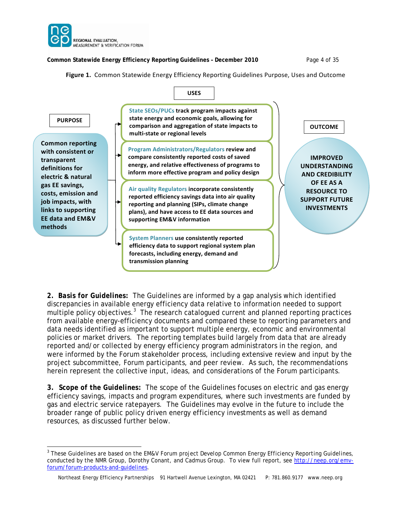

**Common Statewide Energy Efficiency Reporting Guidelines – December 2010** Page 4 of 35

**Figure 1.** Common Statewide Energy Efficiency Reporting Guidelines Purpose, Uses and Outcome



*2. Basis for Guidelines:* The Guidelines are informed by a gap analysis which identified discrepancies in available energy efficiency data relative to information needed to support multiple policy objectives.<sup>3</sup> The research catalogued current and planned reporting practices from available energy-efficiency documents and compared these to reporting parameters and data needs identified as important to support multiple energy, economic and environmental policies or market drivers. The reporting templates build largely from data that are already reported and/or collected by energy efficiency program administrators in the region, and were informed by the Forum stakeholder process, including extensive review and input by the project subcommittee, Forum participants, and peer review. As such, the recommendations herein represent the collective input, ideas, and considerations of the Forum participants.

**3.** *Scope of the Guidelines:* The scope of the Guidelines focuses on electric and gas energy efficiency savings, impacts and program expenditures, where such investments are funded by gas and electric service ratepayers. The Guidelines may evolve in the future to include the broader range of public policy driven energy efficiency investments as well as demand resources, as discussed further below.

 $\overline{a}$ 3 These Guidelines are based on the EM&V Forum project *Develop Common Energy Efficiency Reporting Guidelines,*  conducted by the NMR Group, Dorothy Conant, and Cadmus Group. To view full report, see http://neep.org/emvforum/forum-products-and-guidelines.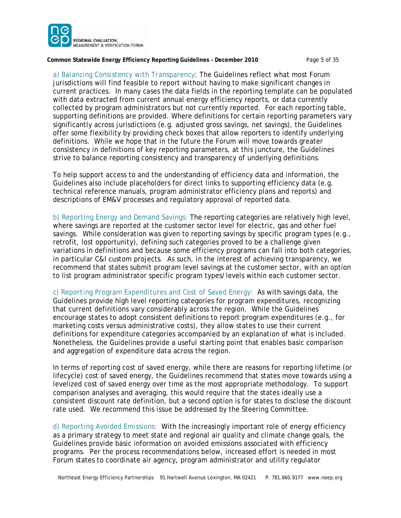

#### **Common Statewide Energy Efficiency Reporting Guidelines – December 2010** Page 5 of 35

*a) Balancing Consistency with Transparency:* The Guidelines reflect what most Forum jurisdictions will find feasible to report without having to make significant changes in current practices. In many cases the data fields in the reporting template can be populated with data extracted from current annual energy efficiency reports, or data currently collected by program administrators but not currently reported. For each reporting table, supporting definitions are provided. Where definitions for certain reporting parameters vary significantly across jurisdictions (e.g. adjusted gross savings, net savings), the Guidelines offer some flexibility by providing check boxes that allow reporters to identify underlying definitions. While we hope that in the future the Forum will move towards greater consistency in definitions of key reporting parameters, at this juncture, the Guidelines strive to balance reporting consistency and transparency of underlying definitions.

To help support access to and the understanding of efficiency data and information, the Guidelines also include placeholders for direct links to supporting efficiency data (e.g. technical reference manuals, program administrator efficiency plans and reports) and descriptions of EM&V processes and regulatory approval of reported data.

*b) Reporting Energy and Demand Savings:* The reporting categories are relatively high level, where savings are reported at the customer sector level for electric, gas and other fuel savings. While consideration was given to reporting savings by specific program types (e.g., retrofit, lost opportunity), defining such categories proved to be a challenge given variations in definitions and because some efficiency programs can fall into both categories, in particular C&I custom projects. As such, in the interest of achieving transparency, we recommend that states submit program level savings at the customer sector, with an option to list program administrator specific program types/levels within each customer sector.

*c) Reporting Program Expenditures and Cost of Saved Energy:* As with savings data, the Guidelines provide high level reporting categories for program expenditures, recognizing that current definitions vary considerably across the region. While the Guidelines encourage states to adopt consistent definitions to report program expenditures (e.g., for marketing costs versus administrative costs), they allow states to use their current definitions for expenditure categories accompanied by an explanation of what is included. Nonetheless, the Guidelines provide a useful starting point that enables basic comparison and aggregation of expenditure data across the region.

In terms of reporting cost of saved energy, while there are reasons for reporting lifetime (or lifecycle) cost of saved energy, the Guidelines recommend that states move towards using a levelized cost of saved energy over time as the most appropriate methodology. To support comparison analyses and averaging, this would require that the states ideally use a consistent discount rate definition, but a second option is for states to disclose the discount rate used. We recommend this issue be addressed by the Steering Committee.

*d) Reporting Avoided Emissions:* With the increasingly important role of energy efficiency as a primary strategy to meet state and regional air quality and climate change goals, the Guidelines provide basic information on avoided emissions associated with efficiency programs. Per the process recommendations below, increased effort is needed in most Forum states to coordinate air agency, program administrator and utility regulator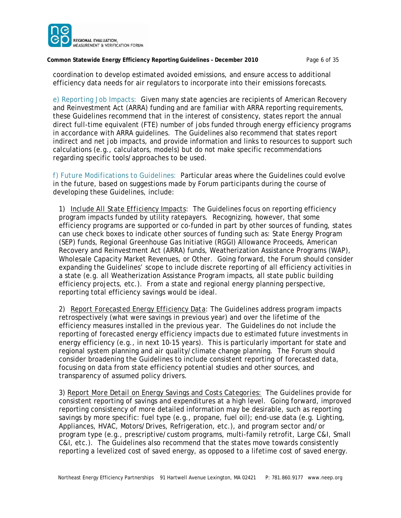

**Common Statewide Energy Efficiency Reporting Guidelines – December 2010** Page 6 of 35

coordination to develop estimated avoided emissions, and ensure access to additional efficiency data needs for air regulators to incorporate into their emissions forecasts.

*e) Reporting Job Impacts:* Given many state agencies are recipients of American Recovery and Reinvestment Act (ARRA) funding and are familiar with ARRA reporting requirements, these Guidelines recommend that in the interest of consistency, states report the annual direct full-time equivalent (FTE) number of jobs funded through energy efficiency programs in accordance with ARRA guidelines. The Guidelines also recommend that states report indirect and net job impacts, and provide information and links to resources to support such calculations (e.g., calculators, models) but do not make specific recommendations regarding specific tools/approaches to be used.

*f) Future Modifications to Guidelines:* Particular areas where the Guidelines could evolve in the future, based on suggestions made by Forum participants during the course of developing these Guidelines, include:

*1) Include All State Efficiency Impacts:* The Guidelines focus on reporting efficiency program impacts funded by utility ratepayers. Recognizing, however, that some efficiency programs are supported or co-funded in part by other sources of funding, states can use check boxes to indicate other sources of funding such as: State Energy Program (SEP) funds, Regional Greenhouse Gas Initiative (RGGI) Allowance Proceeds, American Recovery and Reinvestment Act (ARRA) funds, Weatherization Assistance Programs (WAP), Wholesale Capacity Market Revenues, or Other. Going forward, the Forum should consider expanding the Guidelines' scope to include discrete reporting of all efficiency activities in a state (e.g. all Weatherization Assistance Program impacts, all state public building efficiency projects, etc.). From a state and regional energy planning perspective, reporting total efficiency savings would be ideal.

*2) Report Forecasted Energy Efficiency Data:* The Guidelines address program impacts retrospectively (what were savings in previous year) and over the lifetime of the efficiency measures installed in the previous year. The Guidelines do not include the reporting of forecasted energy efficiency impacts due to estimated future investments in energy efficiency (e.g., in next 10-15 years). This is particularly important for state and regional system planning and air quality/climate change planning. The Forum should consider broadening the Guidelines to include consistent reporting of forecasted data, focusing on data from state efficiency potential studies and other sources, and transparency of assumed policy drivers.

*3) Report More Detail on Energy Savings and Costs Categories:* The Guidelines provide for consistent reporting of savings and expenditures at a high level. Going forward, improved reporting consistency of more detailed information may be desirable, such as reporting savings by more specific: fuel type (e.g., propane, fuel oil); end-use data (e.g. Lighting, Appliances, HVAC, Motors/Drives, Refrigeration, etc.), and program sector and/or program type (e.g., prescriptive/custom programs, multi-family retrofit, Large C&I, Small C&I, etc.). The Guidelines also recommend that the states move towards consistently reporting a levelized cost of saved energy, as opposed to a lifetime cost of saved energy.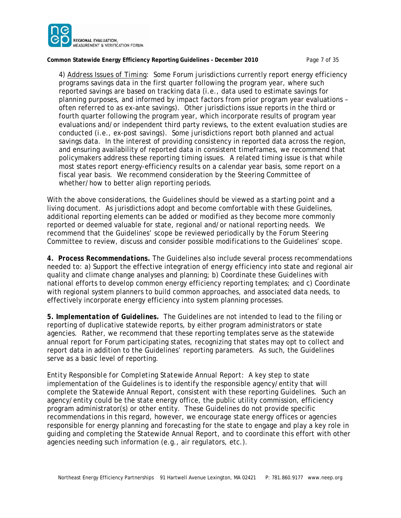

**Common Statewide Energy Efficiency Reporting Guidelines – December 2010** Page 7 of 35

*4) Address Issues of Timing:* Some Forum jurisdictions currently report energy efficiency programs savings data in the first quarter following the program year, where such reported savings are based on tracking data (i.e., data used to estimate savings for planning purposes, and informed by impact factors from prior program year evaluations – often referred to as *ex-ante* savings). Other jurisdictions issue reports in the third or fourth quarter following the program year, which incorporate results of program year evaluations and/or independent third party reviews, to the extent evaluation studies are conducted (i.e., *ex-post* savings). Some jurisdictions report both planned and actual savings data. In the interest of providing consistency in reported data across the region, and ensuring availability of reported data in consistent timeframes, we recommend that policymakers address these reporting timing issues. A related timing issue is that while most states report energy-efficiency results on a calendar year basis, some report on a fiscal year basis. We recommend consideration by the Steering Committee of whether/how to better align reporting periods.

With the above considerations, the Guidelines should be viewed as a starting point and a living document. As jurisdictions adopt and become comfortable with these Guidelines, additional reporting elements can be added or modified as they become more commonly reported or deemed valuable for state, regional and/or national reporting needs. We recommend that the Guidelines' scope be reviewed periodically by the Forum Steering Committee to review, discuss and consider possible modifications to the Guidelines' scope.

*4. Process Recommendations.* The Guidelines also include several *process* recommendations needed to: a) Support the effective integration of energy efficiency into state and regional air quality and climate change analyses and planning; b) Coordinate these Guidelines with national efforts to develop common energy efficiency reporting templates; and c) Coordinate with regional system planners to build common approaches, and associated data needs, to effectively incorporate energy efficiency into system planning processes.

*5. Implementation of Guidelines.* The Guidelines are not intended to lead to the filing or reporting of duplicative statewide reports, by either program administrators or state agencies. Rather, we recommend that these reporting templates serve as the statewide annual report for Forum participating states, recognizing that states may opt to collect and report data in addition to the Guidelines' reporting parameters. As such, the Guidelines serve as a basic level of reporting.

*Entity Responsible for Completing Statewide Annual Report:* A key step to state implementation of the Guidelines is to identify the responsible agency/entity that will complete the Statewide Annual Report, consistent with these reporting Guidelines. Such an agency/entity could be the state energy office, the public utility commission, efficiency program administrator(s) or other entity. These Guidelines do not provide specific recommendations in this regard, however, we encourage state energy offices or agencies responsible for energy planning and forecasting for the state to engage and play a key role in guiding and completing the Statewide Annual Report, and to coordinate this effort with other agencies needing such information (e.g., air regulators, etc.).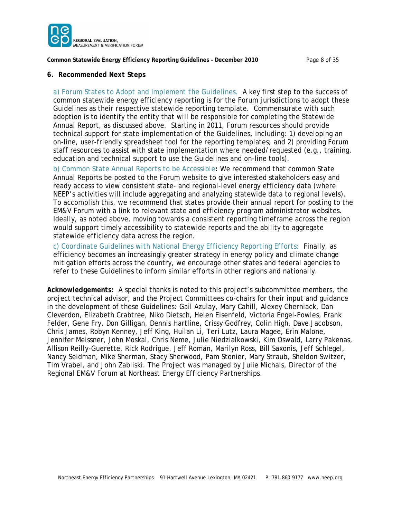

**Common Statewide Energy Efficiency Reporting Guidelines – December 2010** Page 8 of 35

#### *6. Recommended Next Steps*

*a) Forum States to Adopt and Implement the Guidelines.* A key first step to the success of common statewide energy efficiency reporting is for the Forum jurisdictions to adopt these Guidelines as their respective statewide reporting template. Commensurate with such adoption is to identify the entity that will be responsible for completing the Statewide Annual Report, as discussed above. Starting in 2011, Forum resources should provide technical support for state implementation of the Guidelines, including: 1) developing an on-line, user-friendly spreadsheet tool for the reporting templates; and 2) providing Forum staff resources to assist with state implementation where needed/requested (e.g., training, education and technical support to use the Guidelines and on-line tools).

*b) Common State Annual Reports to be Accessible:* We recommend that common State Annual Reports be posted to the Forum website to give interested stakeholders easy and ready access to view consistent state- and regional-level energy efficiency data (where NEEP's activities will include aggregating and analyzing statewide data to regional levels). To accomplish this, we recommend that states provide their annual report for posting to the EM&V Forum with a link to relevant state and efficiency program administrator websites. Ideally, as noted above, moving towards a consistent reporting timeframe across the region would support timely accessibility to statewide reports and the ability to aggregate statewide efficiency data across the region.

*c) Coordinate Guidelines with National Energy Efficiency Reporting Efforts:* Finally, as efficiency becomes an increasingly greater strategy in energy policy and climate change mitigation efforts across the country, we encourage other states and federal agencies to refer to these Guidelines to inform similar efforts in other regions and nationally.

*Acknowledgements:* A special thanks is noted to this project's subcommittee members, the project technical advisor, and the Project Committees co-chairs for their input and guidance in the development of these Guidelines: Gail Azulay, Mary Cahill, Alexey Cherniack, Dan Cleverdon, Elizabeth Crabtree, Niko Dietsch, Helen Eisenfeld, Victoria Engel-Fowles, Frank Felder, Gene Fry, Don Gilligan, Dennis Hartline, Crissy Godfrey, Colin High, Dave Jacobson, Chris James, Robyn Kenney, Jeff King, Huilan Li, Teri Lutz, Laura Magee, Erin Malone, Jennifer Meissner, John Moskal, Chris Neme, Julie Niedzialkowski, Kim Oswald, Larry Pakenas, Allison Reilly-Guerette, Rick Rodrigue, Jeff Roman, Marilyn Ross, Bill Saxonis, Jeff Schlegel, Nancy Seidman, Mike Sherman, Stacy Sherwood, Pam Stonier, Mary Straub, Sheldon Switzer, Tim Vrabel, and John Zabliski. The Project was managed by Julie Michals, Director of the Regional EM&V Forum at Northeast Energy Efficiency Partnerships.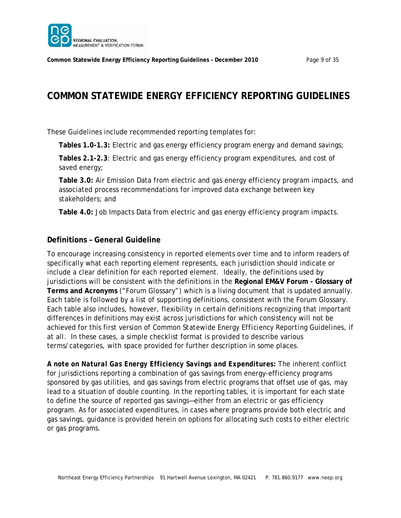

# **COMMON STATEWIDE ENERGY EFFICIENCY REPORTING GUIDELINES**

These Guidelines include recommended reporting templates for:

**Tables 1.0-1.3:** Electric and gas energy efficiency program energy and demand savings;

**Tables 2.1-2.3**: Electric and gas energy efficiency program expenditures, and cost of saved energy;

**Table 3.0:** Air Emission Data from electric and gas energy efficiency program impacts, and associated process recommendations for improved data exchange between key stakeholders; and

**Table 4.0:** Job Impacts Data from electric and gas energy efficiency program impacts.

### **Definitions – General Guideline**

To encourage increasing consistency in reported elements over time and to inform readers of specifically what each reporting element represents, each jurisdiction should indicate or include a clear definition for each reported element. Ideally, the definitions used by jurisdictions will be consistent with the definitions in the **Regional EM&V Forum - Glossary of Terms and Acronyms** ("Forum Glossary") which is a living document that is updated annually. Each table is followed by a list of supporting definitions, consistent with the Forum Glossary. Each table also includes, however, flexibility in certain definitions recognizing that important differences in definitions may exist across jurisdictions for which consistency will not be achieved for this first version of *Common Statewide Energy Efficiency Reporting Guidelines,* if at all*.* In these cases, a simple checklist format is provided to describe various terms/categories, with space provided for further description in some places.

*A note on Natural Gas Energy Efficiency Savings and Expenditures:* The inherent conflict for jurisdictions reporting a combination of gas savings from energy-efficiency programs sponsored by gas utilities, and gas savings from electric programs that offset use of gas, may lead to a situation of double counting. In the reporting tables, it is important for each state to define the source of reported gas savings—either from an electric or gas efficiency program. As for associated expenditures, in cases where programs provide both electric and gas savings, guidance is provided herein on options for allocating such costs to either electric or gas programs.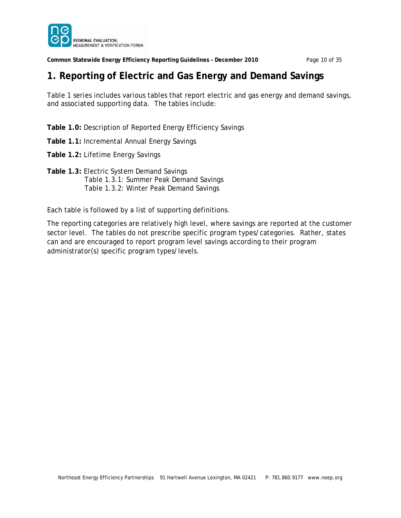

**Common Statewide Energy Efficiency Reporting Guidelines – December 2010** Page 10 of 35

# **1. Reporting of Electric and Gas Energy and Demand Savings**

Table 1 series includes various tables that report electric and gas energy and demand savings, and associated supporting data. The tables include:

**Table 1.0:** Description of Reported Energy Efficiency Savings

**Table 1.1:** Incremental Annual Energy Savings

**Table 1.2:** Lifetime Energy Savings

**Table 1.3:** Electric System Demand Savings Table 1.3.1: Summer Peak Demand Savings Table 1.3.2: Winter Peak Demand Savings

Each table is followed by a list of supporting definitions.

The reporting categories are relatively high level, where savings are reported at the customer sector level. The tables do not prescribe specific program types/categories. Rather, states can and are encouraged to report program level savings according to their program administrator(s) specific program types/levels.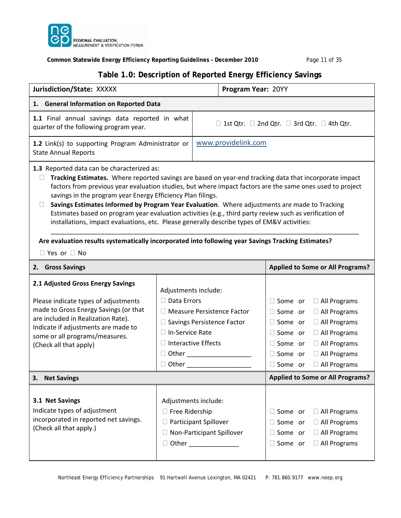

### **Common Statewide Energy Efficiency Reporting Guidelines – December 2010** Page 11 of 35

### **Table 1.0: Description of Reported Energy Efficiency Savings**

| Jurisdiction/State: XXXXX<br>Program Year: 20YY                                                                                                                                                                                                                                                                                                                                                                                                                                                                                                                                                                                                                                                                                                                                              |                                                                                                                                                                                                 |                       |                     |                                                                                                                            |                                                                                                                                                          |  |
|----------------------------------------------------------------------------------------------------------------------------------------------------------------------------------------------------------------------------------------------------------------------------------------------------------------------------------------------------------------------------------------------------------------------------------------------------------------------------------------------------------------------------------------------------------------------------------------------------------------------------------------------------------------------------------------------------------------------------------------------------------------------------------------------|-------------------------------------------------------------------------------------------------------------------------------------------------------------------------------------------------|-----------------------|---------------------|----------------------------------------------------------------------------------------------------------------------------|----------------------------------------------------------------------------------------------------------------------------------------------------------|--|
| 1. General Information on Reported Data                                                                                                                                                                                                                                                                                                                                                                                                                                                                                                                                                                                                                                                                                                                                                      |                                                                                                                                                                                                 |                       |                     |                                                                                                                            |                                                                                                                                                          |  |
| 1.1 Final annual savings data reported in what<br>quarter of the following program year.                                                                                                                                                                                                                                                                                                                                                                                                                                                                                                                                                                                                                                                                                                     |                                                                                                                                                                                                 |                       |                     |                                                                                                                            | $\Box$ 1st Qtr. $\Box$ 2nd Qtr. $\Box$ 3rd Qtr. $\Box$ 4th Qtr.                                                                                          |  |
| 1.2 Link(s) to supporting Program Administrator or<br><b>State Annual Reports</b>                                                                                                                                                                                                                                                                                                                                                                                                                                                                                                                                                                                                                                                                                                            |                                                                                                                                                                                                 |                       | www.providelink.com |                                                                                                                            |                                                                                                                                                          |  |
| 1.3 Reported data can be characterized as:<br>Tracking Estimates. Where reported savings are based on year-end tracking data that incorporate impact<br>factors from previous year evaluation studies, but where impact factors are the same ones used to project<br>savings in the program year Energy Efficiency Plan filings.<br>Savings Estimates Informed by Program Year Evaluation. Where adjustments are made to Tracking<br>$\mathbf{L}$<br>Estimates based on program year evaluation activities (e.g., third party review such as verification of<br>installations, impact evaluations, etc. Please generally describe types of EM&V activities:<br>Are evaluation results systematically incorporated into following year Savings Tracking Estimates?<br>$\Box$ Yes or $\Box$ No |                                                                                                                                                                                                 |                       |                     |                                                                                                                            |                                                                                                                                                          |  |
| 2. Gross Savings                                                                                                                                                                                                                                                                                                                                                                                                                                                                                                                                                                                                                                                                                                                                                                             |                                                                                                                                                                                                 |                       |                     | <b>Applied to Some or All Programs?</b>                                                                                    |                                                                                                                                                          |  |
| 2.1 Adjusted Gross Energy Savings<br>Please indicate types of adjustments<br>made to Gross Energy Savings (or that<br>are included in Realization Rate).<br>Indicate if adjustments are made to<br>some or all programs/measures.<br>(Check all that apply)                                                                                                                                                                                                                                                                                                                                                                                                                                                                                                                                  | Adjustments include:<br>□ Data Errors<br>□ Measure Persistence Factor<br>□ Savings Persistence Factor<br>□ In-Service Rate<br>$\Box$ Interactive Effects<br>$\Box$ Other $\_\_$<br>$\Box$ Other |                       |                     | $\Box$ Some or<br>$\Box$ Some or<br>$\Box$ Some or<br>$\Box$ Some or<br>$\Box$ Some or<br>$\Box$ Some or<br>$\Box$ Some or | $\Box$ All Programs<br>$\Box$ All Programs<br>□ All Programs<br>$\Box$ All Programs<br>$\Box$ All Programs<br>$\Box$ All Programs<br>$\Box$ All Programs |  |
| 3.<br><b>Net Savings</b>                                                                                                                                                                                                                                                                                                                                                                                                                                                                                                                                                                                                                                                                                                                                                                     |                                                                                                                                                                                                 |                       |                     |                                                                                                                            | <b>Applied to Some or All Programs?</b>                                                                                                                  |  |
| 3.1 Net Savings<br>Indicate types of adjustment<br>incorporated in reported net savings.<br>(Check all that apply.)                                                                                                                                                                                                                                                                                                                                                                                                                                                                                                                                                                                                                                                                          | Adjustments include:<br>$\Box$ Free Ridership<br>□ Non-Participant Spillover<br>$\Box$                                                                                                          | Participant Spillover |                     | $\Box$ Some or<br>$\Box$ Some or<br>$\Box$ Some or<br>$\Box$ Some or                                                       | $\Box$ All Programs<br>$\Box$ All Programs<br>$\Box$ All Programs<br>$\Box$ All Programs                                                                 |  |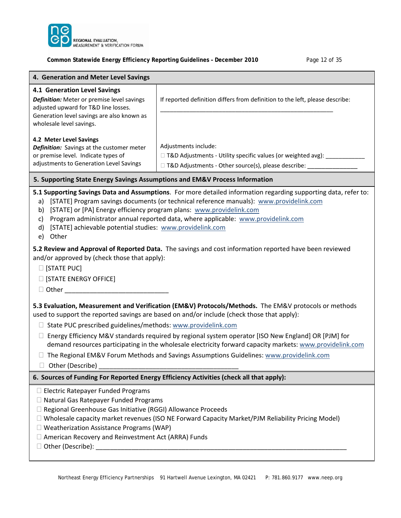

#### **Common Statewide Energy Efficiency Reporting Guidelines – December 2010** Page 12 of 35

| Common Statewide Energy Efficiency Reporting Guidelines - December 2010<br>Page 12 01 35                                                                                                                                                                                                                                                                                                                                                                                                                                                                                                                                                                                                                                                                                                                                                                                                                                                                                                                    |                                                                                                                                                                       |  |  |  |  |  |  |
|-------------------------------------------------------------------------------------------------------------------------------------------------------------------------------------------------------------------------------------------------------------------------------------------------------------------------------------------------------------------------------------------------------------------------------------------------------------------------------------------------------------------------------------------------------------------------------------------------------------------------------------------------------------------------------------------------------------------------------------------------------------------------------------------------------------------------------------------------------------------------------------------------------------------------------------------------------------------------------------------------------------|-----------------------------------------------------------------------------------------------------------------------------------------------------------------------|--|--|--|--|--|--|
| 4. Generation and Meter Level Savings                                                                                                                                                                                                                                                                                                                                                                                                                                                                                                                                                                                                                                                                                                                                                                                                                                                                                                                                                                       |                                                                                                                                                                       |  |  |  |  |  |  |
| 4.1 Generation Level Savings<br>Definition: Meter or premise level savings<br>adjusted upward for T&D line losses.<br>Generation level savings are also known as<br>wholesale level savings.                                                                                                                                                                                                                                                                                                                                                                                                                                                                                                                                                                                                                                                                                                                                                                                                                | If reported definition differs from definition to the left, please describe:                                                                                          |  |  |  |  |  |  |
| 4.2 Meter Level Savings<br>Definition: Savings at the customer meter<br>or premise level. Indicate types of<br>adjustments to Generation Level Savings                                                                                                                                                                                                                                                                                                                                                                                                                                                                                                                                                                                                                                                                                                                                                                                                                                                      | Adjustments include:<br>□ T&D Adjustments - Utility specific values (or weighted avg): __________<br>□ T&D Adjustments - Other source(s), please describe: __________ |  |  |  |  |  |  |
|                                                                                                                                                                                                                                                                                                                                                                                                                                                                                                                                                                                                                                                                                                                                                                                                                                                                                                                                                                                                             |                                                                                                                                                                       |  |  |  |  |  |  |
| 5. Supporting State Energy Savings Assumptions and EM&V Process Information<br>5.1 Supporting Savings Data and Assumptions. For more detailed information regarding supporting data, refer to:<br>[STATE] Program savings documents (or technical reference manuals): www.providelink.com<br>a)<br>[STATE] or [PA] Energy efficiency program plans: www.providelink.com<br>b)<br>Program administrator annual reported data, where applicable: www.providelink.com<br>c)<br>[STATE] achievable potential studies: www.providelink.com<br>d)<br>Other<br>e)<br>5.2 Review and Approval of Reported Data. The savings and cost information reported have been reviewed<br>and/or approved by (check those that apply):<br>$\Box$ [STATE PUC]<br>$\Box$ [STATE ENERGY OFFICE]<br>□ Other the control of the control of the control of the control of the control of the control of the control of the control of the control of the control of the control of the control of the control of the control of the |                                                                                                                                                                       |  |  |  |  |  |  |
| 5.3 Evaluation, Measurement and Verification (EM&V) Protocols/Methods. The EM&V protocols or methods<br>used to support the reported savings are based on and/or include (check those that apply):<br>□ State PUC prescribed guidelines/methods: www.providelink.com<br>Energy Efficiency M&V standards required by regional system operator [ISO New England] OR [PJM] for<br>U.<br>demand resources participating in the wholesale electricity forward capacity markets: www.providelink.com<br>□ The Regional EM&V Forum Methods and Savings Assumptions Guidelines: www.providelink.com                                                                                                                                                                                                                                                                                                                                                                                                                 |                                                                                                                                                                       |  |  |  |  |  |  |
| Other (Describe)<br>$\Box$                                                                                                                                                                                                                                                                                                                                                                                                                                                                                                                                                                                                                                                                                                                                                                                                                                                                                                                                                                                  |                                                                                                                                                                       |  |  |  |  |  |  |

#### **6. Sources of Funding For Reported Energy Efficiency Activities (check all that apply):**

- □ Electric Ratepayer Funded Programs
- □ Natural Gas Ratepayer Funded Programs
- □ Regional Greenhouse Gas Initiative (RGGI) Allowance Proceeds
- Wholesale capacity market revenues (ISO NE Forward Capacity Market/PJM Reliability Pricing Model)
- Weatherization Assistance Programs (WAP)
- American Recovery and Reinvestment Act (ARRA) Funds
- $\square$  Other (Describe): \_\_\_\_\_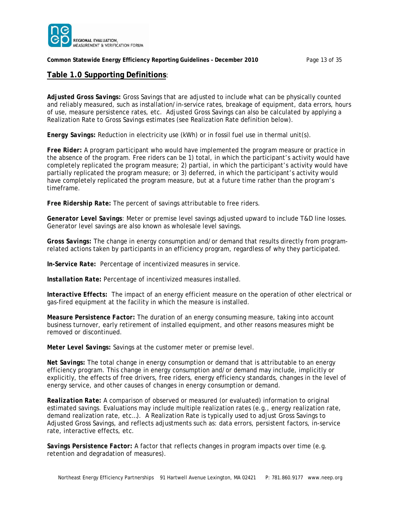

#### **Common Statewide Energy Efficiency Reporting Guidelines – December 2010** Page 13 of 35

#### **Table 1.0 Supporting Definitions**:

*Adjusted Gross Savings:* Gross Savings that are adjusted to include what can be physically counted and reliably measured, such as installation/in-service rates, breakage of equipment, data errors, hours of use, measure persistence rates, etc. Adjusted Gross Savings can also be calculated by applying a Realization Rate to Gross Savings estimates (see Realization Rate definition below).

*Energy Savings:* Reduction in electricity use (kWh) or in fossil fuel use in thermal unit(s).

*Free Rider:* A program participant who would have implemented the program measure or practice in the absence of the program. Free riders can be 1) total, in which the participant's activity would have completely replicated the program measure; 2) partial, in which the participant's activity would have partially replicated the program measure; or 3) deferred, in which the participant's activity would have completely replicated the program measure, but at a future time rather than the program's timeframe.

*Free Ridership Rate:* The percent of savings attributable to free riders.

*Generator Level Savings:* Meter or premise level savings adjusted upward to include T&D line losses. Generator level savings are also known as wholesale level savings.

*Gross Savings:* The change in energy consumption and/or demand that results directly from programrelated actions taken by participants in an efficiency program, regardless of why they participated.

*In-Service Rate:* Percentage of incentivized measures in service.

*Installation Rate:* Percentage of incentivized measures installed.

*Interactive Effects:* The impact of an energy efficient measure on the operation of other electrical or gas-fired equipment at the facility in which the measure is installed.

*Measure Persistence Factor:* The duration of an energy consuming measure, taking into account business turnover, early retirement of installed equipment, and other reasons measures might be removed or discontinued.

*Meter Level Savings:* Savings at the customer meter or premise level.

*Net Savings:* The total change in energy consumption or demand that is attributable to an energy efficiency program. This change in energy consumption and/or demand may include, implicitly or explicitly, the effects of free drivers, free riders, energy efficiency standards, changes in the level of energy service, and other causes of changes in energy consumption or demand.

*Realization Rate:* A comparison of observed or measured (or evaluated) information to original estimated savings. Evaluations may include multiple realization rates (e.g., energy realization rate, demand realization rate, etc…). A Realization Rate is typically used to adjust Gross Savings to Adjusted Gross Savings, and reflects adjustments such as: data errors, persistent factors, in-service rate, interactive effects, etc.

*Savings Persistence Factor:* A factor that reflects changes in program impacts over time (e.g. retention and degradation of measures).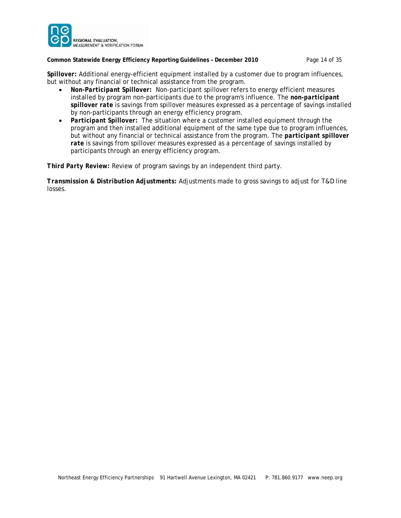

#### **Common Statewide Energy Efficiency Reporting Guidelines – December 2010** Page 14 of 35

*Spillover:* Additional energy-efficient equipment installed by a customer due to program influences, but without any financial or technical assistance from the program.

- *Non-Participant Spillover***:**Non-participant spillover refers to energy efficient measures installed by program non-participants due to the program's influence. The *non-participant spillover rate* is savings from spillover measures expressed as a percentage of savings installed by non-participants through an energy efficiency program.
- *Participant Spillover***:** The situation where a customer installed equipment through the program and then installed additional equipment of the same type due to program influences, but without any financial or technical assistance from the program. The *participant spillover rate* is savings from spillover measures expressed as a percentage of savings installed by participants through an energy efficiency program.

*Third Party Review:* Review of program savings by an independent third party.

*Transmission & Distribution Adjustments:* Adjustments made to gross savings to adjust for T&D line losses.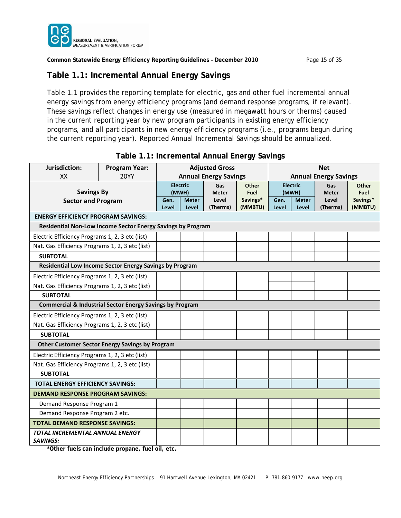

**Common Statewide Energy Efficiency Reporting Guidelines – December 2010** Page 15 of 35

# **Table 1.1: Incremental Annual Energy Savings**

Table 1.1 provides the reporting template for electric, gas and other fuel incremental annual energy savings from energy efficiency programs (and demand response programs, if relevant). These savings reflect changes in energy use (measured in megawatt hours or therms) caused in the current reporting year by new program participants in existing energy efficiency programs, and all participants in new energy efficiency programs (i.e., programs begun during the current reporting year). Reported Annual Incremental Savings should be annualized.

| Jurisdiction:                                                       | <b>Program Year:</b>           | <b>Adjusted Gross</b> |                       |                              | <b>Net</b>          |                              |                       |                   |                     |
|---------------------------------------------------------------------|--------------------------------|-----------------------|-----------------------|------------------------------|---------------------|------------------------------|-----------------------|-------------------|---------------------|
| <b>XX</b>                                                           | <b>20YY</b>                    |                       |                       | <b>Annual Energy Savings</b> |                     | <b>Annual Energy Savings</b> |                       |                   |                     |
|                                                                     |                                |                       | <b>Electric</b>       | Gas                          | <b>Other</b>        |                              | <b>Electric</b>       | Gas               | <b>Other</b>        |
| <b>Savings By</b>                                                   |                                | (MWH)                 |                       | <b>Meter</b>                 | <b>Fuel</b>         |                              | (MWH)                 | <b>Meter</b>      | Fuel                |
| <b>Sector and Program</b>                                           |                                | Gen.<br>Level         | <b>Meter</b><br>Level | Level<br>(Therms)            | Savings*<br>(MMBTU) | Gen.<br>Level                | <b>Meter</b><br>Level | Level<br>(Therms) | Savings*<br>(MMBTU) |
| <b>ENERGY EFFICIENCY PROGRAM SAVINGS:</b>                           |                                |                       |                       |                              |                     |                              |                       |                   |                     |
| Residential Non-Low Income Sector Energy Savings by Program         |                                |                       |                       |                              |                     |                              |                       |                   |                     |
| Electric Efficiency Programs 1, 2, 3 etc (list)                     |                                |                       |                       |                              |                     |                              |                       |                   |                     |
| Nat. Gas Efficiency Programs 1, 2, 3 etc (list)                     |                                |                       |                       |                              |                     |                              |                       |                   |                     |
| <b>SUBTOTAL</b>                                                     |                                |                       |                       |                              |                     |                              |                       |                   |                     |
| Residential Low Income Sector Energy Savings by Program             |                                |                       |                       |                              |                     |                              |                       |                   |                     |
| Electric Efficiency Programs 1, 2, 3 etc (list)                     |                                |                       |                       |                              |                     |                              |                       |                   |                     |
| Nat. Gas Efficiency Programs 1, 2, 3 etc (list)                     |                                |                       |                       |                              |                     |                              |                       |                   |                     |
| <b>SUBTOTAL</b>                                                     |                                |                       |                       |                              |                     |                              |                       |                   |                     |
| <b>Commercial &amp; Industrial Sector Energy Savings by Program</b> |                                |                       |                       |                              |                     |                              |                       |                   |                     |
| Electric Efficiency Programs 1, 2, 3 etc (list)                     |                                |                       |                       |                              |                     |                              |                       |                   |                     |
| Nat. Gas Efficiency Programs 1, 2, 3 etc (list)                     |                                |                       |                       |                              |                     |                              |                       |                   |                     |
| <b>SUBTOTAL</b>                                                     |                                |                       |                       |                              |                     |                              |                       |                   |                     |
| <b>Other Customer Sector Energy Savings by Program</b>              |                                |                       |                       |                              |                     |                              |                       |                   |                     |
| Electric Efficiency Programs 1, 2, 3 etc (list)                     |                                |                       |                       |                              |                     |                              |                       |                   |                     |
| Nat. Gas Efficiency Programs 1, 2, 3 etc (list)                     |                                |                       |                       |                              |                     |                              |                       |                   |                     |
| <b>SUBTOTAL</b>                                                     |                                |                       |                       |                              |                     |                              |                       |                   |                     |
| <b>TOTAL ENERGY EFFICIENCY SAVINGS:</b>                             |                                |                       |                       |                              |                     |                              |                       |                   |                     |
| <b>DEMAND RESPONSE PROGRAM SAVINGS:</b>                             |                                |                       |                       |                              |                     |                              |                       |                   |                     |
| Demand Response Program 1                                           |                                |                       |                       |                              |                     |                              |                       |                   |                     |
|                                                                     | Demand Response Program 2 etc. |                       |                       |                              |                     |                              |                       |                   |                     |
| <b>TOTAL DEMAND RESPONSE SAVINGS:</b>                               |                                |                       |                       |                              |                     |                              |                       |                   |                     |
| TOTAL INCREMENTAL ANNUAL ENERGY                                     |                                |                       |                       |                              |                     |                              |                       |                   |                     |
| <b>SAVINGS:</b>                                                     |                                |                       |                       |                              |                     |                              |                       |                   |                     |

### **Table 1.1: Incremental Annual Energy Savings**

**\*Other fuels can include propane, fuel oil, etc.**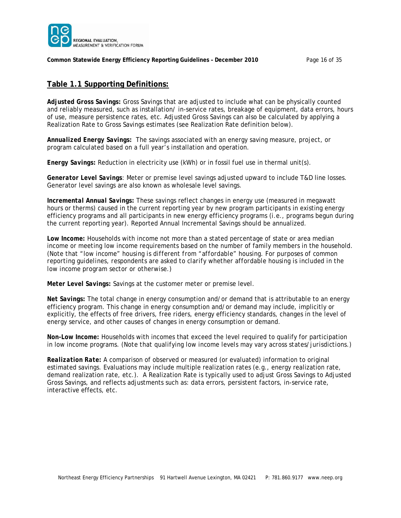

**Common Statewide Energy Efficiency Reporting Guidelines – December 2010** Page 16 of 35

### **Table 1.1 Supporting Definitions:**

*Adjusted Gross Savings:* Gross Savings that are adjusted to include what can be physically counted and reliably measured, such as installation/ in-service rates, breakage of equipment, data errors, hours of use, measure persistence rates, etc. Adjusted Gross Savings can also be calculated by applying a Realization Rate to Gross Savings estimates (see Realization Rate definition below).

*Annualized Energy Savings:* The savings associated with an energy saving measure, project, or program calculated based on a full year's installation and operation.

*Energy Savings:* Reduction in electricity use (kWh) or in fossil fuel use in thermal unit(s).

*Generator Level Savings:* Meter or premise level savings adjusted upward to include T&D line losses. Generator level savings are also known as wholesale level savings.

*Incremental Annual Savings:* These savings reflect changes in energy use (measured in megawatt hours or therms) caused in the current reporting year by new program participants in existing energy efficiency programs and all participants in new energy efficiency programs (i.e., programs begun during the current reporting year). Reported Annual Incremental Savings should be annualized.

*Low Income:* Households with income not more than a stated percentage of state or area median income or meeting low income requirements based on the number of family members in the household. (*Note that "low income" housing is different from "affordable" housing. For purposes of common reporting guidelines, respondents are asked to clarify whether affordable housing is included in the low income program sector or otherwise.*)

*Meter Level Savings:* Savings at the customer meter or premise level.

*Net Savings:* The total change in energy consumption and/or demand that is attributable to an energy efficiency program. This change in energy consumption and/or demand may include, implicitly or explicitly, the effects of free drivers, free riders, energy efficiency standards, changes in the level of energy service, and other causes of changes in energy consumption or demand.

*Non-Low Income:* Households with incomes that exceed the level required to qualify for participation in low income programs. (*Note that qualifying low income levels may vary across states/jurisdictions.*)

*Realization Rate:* A comparison of observed or measured (or evaluated) information to original estimated savings. Evaluations may include multiple realization rates (e.g., energy realization rate, demand realization rate, etc.). A Realization Rate is typically used to adjust Gross Savings to Adjusted Gross Savings, and reflects adjustments such as: data errors, persistent factors, in-service rate, interactive effects, etc.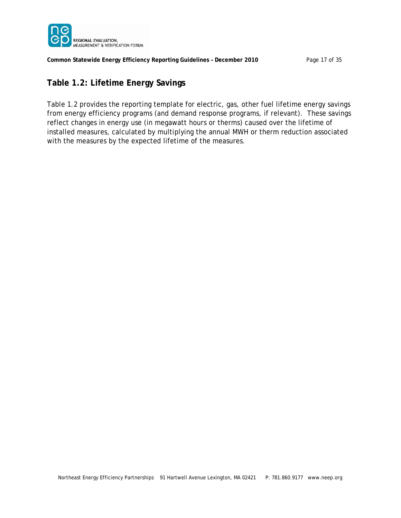

**Common Statewide Energy Efficiency Reporting Guidelines – December 2010** Page 17 of 35

# **Table 1.2: Lifetime Energy Savings**

Table 1.2 provides the reporting template for electric, gas, other fuel lifetime energy savings from energy efficiency programs (and demand response programs, if relevant). These savings reflect changes in energy use (in megawatt hours or therms) caused over the lifetime of installed measures, calculated by multiplying the annual MWH or therm reduction associated with the measures by the expected lifetime of the measures.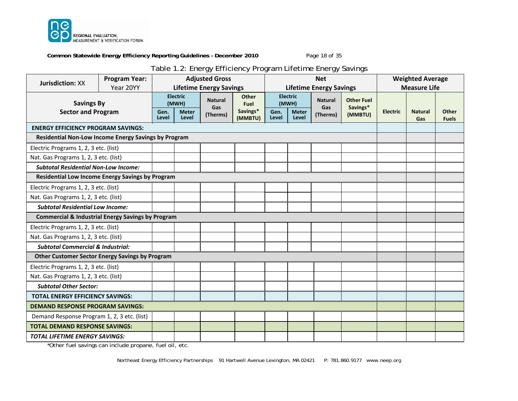

**Common Statewide Energy Efficiency Reporting Guidelines – December 2010** Page 18 of 35

# Table 1.2: Energy Efficiency Program Lifetime Energy Savings

| <b>Jurisdiction: XX</b>                                      | <b>Program Year:</b> | <b>Adjusted Gross</b>          |                                                   |                                   | <b>Net</b>                                  |               |                                                   |                                   | <b>Weighted Average</b>                  |                 |                       |                              |
|--------------------------------------------------------------|----------------------|--------------------------------|---------------------------------------------------|-----------------------------------|---------------------------------------------|---------------|---------------------------------------------------|-----------------------------------|------------------------------------------|-----------------|-----------------------|------------------------------|
|                                                              | Year 20YY            | <b>Lifetime Energy Savings</b> |                                                   | <b>Lifetime Energy Savings</b>    |                                             |               | <b>Measure Life</b>                               |                                   |                                          |                 |                       |                              |
| <b>Savings By</b><br><b>Sector and Program</b>               |                      | Gen.<br>Level                  | <b>Electric</b><br>(MWH)<br><b>Meter</b><br>Level | <b>Natural</b><br>Gas<br>(Therms) | <b>Other</b><br>Fuel<br>Savings*<br>(MMBTU) | Gen.<br>Level | <b>Electric</b><br>(MWH)<br><b>Meter</b><br>Level | <b>Natural</b><br>Gas<br>(Therms) | <b>Other Fuel</b><br>Savings*<br>(MMBTU) | <b>Electric</b> | <b>Natural</b><br>Gas | <b>Other</b><br><b>Fuels</b> |
| <b>ENERGY EFFICIENCY PROGRAM SAVINGS:</b>                    |                      |                                |                                                   |                                   |                                             |               |                                                   |                                   |                                          |                 |                       |                              |
| Residential Non-Low Income Energy Savings by Program         |                      |                                |                                                   |                                   |                                             |               |                                                   |                                   |                                          |                 |                       |                              |
| Electric Programs 1, 2, 3 etc. (list)                        |                      |                                |                                                   |                                   |                                             |               |                                                   |                                   |                                          |                 |                       |                              |
| Nat. Gas Programs 1, 2, 3 etc. (list)                        |                      |                                |                                                   |                                   |                                             |               |                                                   |                                   |                                          |                 |                       |                              |
| <b>Subtotal Residential Non-Low Income:</b>                  |                      |                                |                                                   |                                   |                                             |               |                                                   |                                   |                                          |                 |                       |                              |
| Residential Low Income Energy Savings by Program             |                      |                                |                                                   |                                   |                                             |               |                                                   |                                   |                                          |                 |                       |                              |
| Electric Programs 1, 2, 3 etc. (list)                        |                      |                                |                                                   |                                   |                                             |               |                                                   |                                   |                                          |                 |                       |                              |
| Nat. Gas Programs 1, 2, 3 etc. (list)                        |                      |                                |                                                   |                                   |                                             |               |                                                   |                                   |                                          |                 |                       |                              |
| <b>Subtotal Residential Low Income:</b>                      |                      |                                |                                                   |                                   |                                             |               |                                                   |                                   |                                          |                 |                       |                              |
| <b>Commercial &amp; Industrial Energy Savings by Program</b> |                      |                                |                                                   |                                   |                                             |               |                                                   |                                   |                                          |                 |                       |                              |
| Electric Programs 1, 2, 3 etc. (list)                        |                      |                                |                                                   |                                   |                                             |               |                                                   |                                   |                                          |                 |                       |                              |
| Nat. Gas Programs 1, 2, 3 etc. (list)                        |                      |                                |                                                   |                                   |                                             |               |                                                   |                                   |                                          |                 |                       |                              |
| <b>Subtotal Commercial &amp; Industrial:</b>                 |                      |                                |                                                   |                                   |                                             |               |                                                   |                                   |                                          |                 |                       |                              |
| <b>Other Customer Sector Energy Savings by Program</b>       |                      |                                |                                                   |                                   |                                             |               |                                                   |                                   |                                          |                 |                       |                              |
| Electric Programs 1, 2, 3 etc. (list)                        |                      |                                |                                                   |                                   |                                             |               |                                                   |                                   |                                          |                 |                       |                              |
| Nat. Gas Programs 1, 2, 3 etc. (list)                        |                      |                                |                                                   |                                   |                                             |               |                                                   |                                   |                                          |                 |                       |                              |
| <b>Subtotal Other Sector:</b>                                |                      |                                |                                                   |                                   |                                             |               |                                                   |                                   |                                          |                 |                       |                              |
| <b>TOTAL ENERGY EFFICIENCY SAVINGS:</b>                      |                      |                                |                                                   |                                   |                                             |               |                                                   |                                   |                                          |                 |                       |                              |
| <b>DEMAND RESPONSE PROGRAM SAVINGS:</b>                      |                      |                                |                                                   |                                   |                                             |               |                                                   |                                   |                                          |                 |                       |                              |
| Demand Response Program 1, 2, 3 etc. (list)                  |                      |                                |                                                   |                                   |                                             |               |                                                   |                                   |                                          |                 |                       |                              |
| <b>TOTAL DEMAND RESPONSE SAVINGS:</b>                        |                      |                                |                                                   |                                   |                                             |               |                                                   |                                   |                                          |                 |                       |                              |
| <b>TOTAL LIFETIME ENERGY SAVINGS:</b>                        |                      |                                |                                                   |                                   |                                             |               |                                                   |                                   |                                          |                 |                       |                              |

\*Other fuel savings can include propane, fuel oil, etc.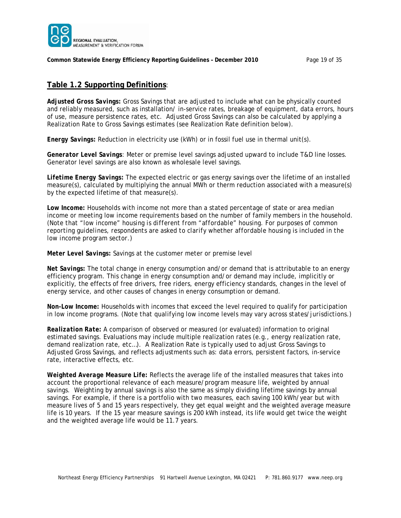

**Common Statewide Energy Efficiency Reporting Guidelines – December 2010** Page 19 of 35

#### **Table 1.2 Supporting Definitions**:

*Adjusted Gross Savings:* Gross Savings that are adjusted to include what can be physically counted and reliably measured, such as installation/ in-service rates, breakage of equipment, data errors, hours of use, measure persistence rates, etc. Adjusted Gross Savings can also be calculated by applying a Realization Rate to Gross Savings estimates (see Realization Rate definition below).

*Energy Savings:* Reduction in electricity use (kWh) or in fossil fuel use in thermal unit(s).

*Generator Level Savings:* Meter or premise level savings adjusted upward to include T&D line losses. Generator level savings are also known as wholesale level savings.

*Lifetime Energy Savings:* The expected electric or gas energy savings over the lifetime of an installed measure(s), calculated by multiplying the annual MWh or therm reduction associated with a measure(s) by the expected lifetime of that measure(s).

Low Income: Households with income not more than a stated percentage of state or area median income or meeting low income requirements based on the number of family members in the household. (*Note that "low income" housing is different from "affordable" housing. For purposes of common reporting guidelines, respondents are asked to clarify whether affordable housing is included in the low income program sector.*)

*Meter Level Savings:* Savings at the customer meter or premise level

*Net Savings:* The total change in energy consumption and/or demand that is attributable to an energy efficiency program. This change in energy consumption and/or demand may include, implicitly or explicitly, the effects of free drivers, free riders, energy efficiency standards, changes in the level of energy service, and other causes of changes in energy consumption or demand.

*Non-Low Income:* Households with incomes that exceed the level required to qualify for participation in low income programs. (*Note that qualifying low income levels may vary across states/jurisdictions.*)

*Realization Rate:* A comparison of observed or measured (or evaluated) information to original estimated savings. Evaluations may include multiple realization rates (e.g., energy realization rate, demand realization rate, etc…). A Realization Rate is typically used to adjust Gross Savings to Adjusted Gross Savings, and reflects adjustments such as: data errors, persistent factors, in-service rate, interactive effects, etc.

*Weighted Average Measure Life:* Reflects the average life of the installed measures that takes into account the proportional relevance of each measure/program measure life, weighted by annual savings. Weighting by annual savings is also the same as simply dividing lifetime savings by annual savings. For example, if there is a portfolio with two measures, each saving 100 kWh/year but with measure lives of 5 and 15 years respectively, they get equal weight and the weighted average measure life is 10 years. If the 15 year measure savings is 200 kWh instead, its life would get twice the weight and the weighted average life would be 11.7 years.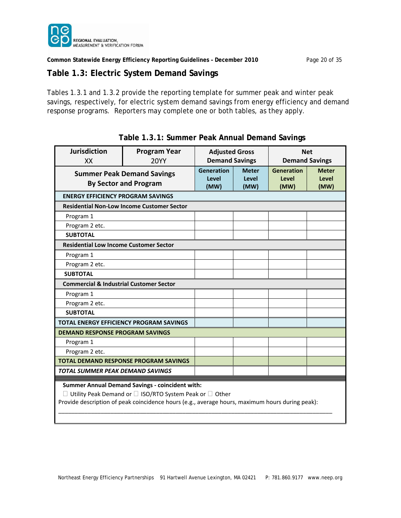

**Common Statewide Energy Efficiency Reporting Guidelines – December 2010** Page 20 of 35

### **Table 1.3: Electric System Demand Savings**

Tables 1.3.1 and 1.3.2 provide the reporting template for summer peak and winter peak savings, respectively, for electric system demand savings from energy efficiency and demand response programs. Reporters may complete one or both tables, as they apply.

| <b>Jurisdiction</b><br>XX                          | <b>Program Year</b><br><b>20YY</b>                                | <b>Adjusted Gross</b><br><b>Demand Savings</b> |                               | <b>Net</b><br><b>Demand Savings</b>       |                                      |  |  |
|----------------------------------------------------|-------------------------------------------------------------------|------------------------------------------------|-------------------------------|-------------------------------------------|--------------------------------------|--|--|
|                                                    | <b>Summer Peak Demand Savings</b><br><b>By Sector and Program</b> |                                                | <b>Meter</b><br>Level<br>(MW) | <b>Generation</b><br><b>Level</b><br>(MW) | <b>Meter</b><br><b>Level</b><br>(MW) |  |  |
| <b>ENERGY EFFICIENCY PROGRAM SAVINGS</b>           |                                                                   |                                                |                               |                                           |                                      |  |  |
|                                                    | <b>Residential Non-Low Income Customer Sector</b>                 |                                                |                               |                                           |                                      |  |  |
| Program 1                                          |                                                                   |                                                |                               |                                           |                                      |  |  |
| Program 2 etc.                                     |                                                                   |                                                |                               |                                           |                                      |  |  |
| <b>SUBTOTAL</b>                                    |                                                                   |                                                |                               |                                           |                                      |  |  |
| <b>Residential Low Income Customer Sector</b>      |                                                                   |                                                |                               |                                           |                                      |  |  |
| Program 1                                          |                                                                   |                                                |                               |                                           |                                      |  |  |
| Program 2 etc.                                     |                                                                   |                                                |                               |                                           |                                      |  |  |
| <b>SUBTOTAL</b>                                    |                                                                   |                                                |                               |                                           |                                      |  |  |
| <b>Commercial &amp; Industrial Customer Sector</b> |                                                                   |                                                |                               |                                           |                                      |  |  |
| Program 1                                          |                                                                   |                                                |                               |                                           |                                      |  |  |
| Program 2 etc.                                     |                                                                   |                                                |                               |                                           |                                      |  |  |
| <b>SUBTOTAL</b>                                    |                                                                   |                                                |                               |                                           |                                      |  |  |
|                                                    | <b>TOTAL ENERGY EFFICIENCY PROGRAM SAVINGS</b>                    |                                                |                               |                                           |                                      |  |  |
| <b>DEMAND RESPONSE PROGRAM SAVINGS</b>             |                                                                   |                                                |                               |                                           |                                      |  |  |
| Program 1                                          |                                                                   |                                                |                               |                                           |                                      |  |  |
| Program 2 etc.                                     |                                                                   |                                                |                               |                                           |                                      |  |  |
|                                                    | <b>TOTAL DEMAND RESPONSE PROGRAM SAVINGS</b>                      |                                                |                               |                                           |                                      |  |  |
| <b>TOTAL SUMMER PEAK DEMAND SAVINGS</b>            |                                                                   |                                                |                               |                                           |                                      |  |  |
|                                                    | <b>Summer Annual Demand Savings - coincident with:</b>            |                                                |                               |                                           |                                      |  |  |

### **Table 1.3.1: Summer Peak Annual Demand Savings**

 **Summer Annual Demand Savings ‐ coincident with:**

 $\Box$  Utility Peak Demand or  $\Box$  ISO/RTO System Peak or  $\Box$  Other

Provide description of peak coincidence hours (e.g., average hours, maximum hours during peak):

\_\_\_\_\_\_\_\_\_\_\_\_\_\_\_\_\_\_\_\_\_\_\_\_\_\_\_\_\_\_\_\_\_\_\_\_\_\_\_\_\_\_\_\_\_\_\_\_\_\_\_\_\_\_\_\_\_\_\_\_\_\_\_\_\_\_\_\_\_\_\_\_\_\_\_\_\_\_\_\_\_\_\_\_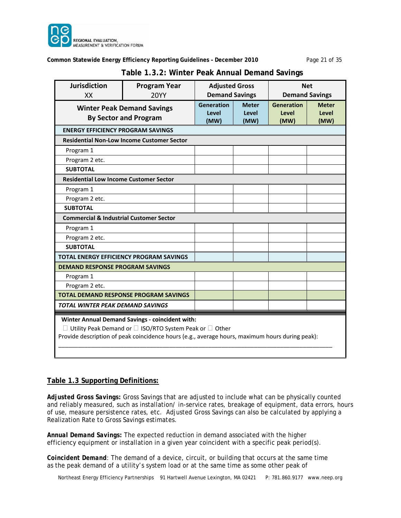

#### **Common Statewide Energy Efficiency Reporting Guidelines – December 2010** Page 21 of 35

| <b>Jurisdiction</b><br>XX                                                                                                                                                                                                      | <b>Program Year</b><br><b>20YY</b>                                | <b>Adjusted Gross</b><br><b>Demand Savings</b> |                               | <b>Net</b><br><b>Demand Savings</b> |                               |  |
|--------------------------------------------------------------------------------------------------------------------------------------------------------------------------------------------------------------------------------|-------------------------------------------------------------------|------------------------------------------------|-------------------------------|-------------------------------------|-------------------------------|--|
|                                                                                                                                                                                                                                | <b>Winter Peak Demand Savings</b><br><b>By Sector and Program</b> | <b>Generation</b><br>Level<br>(MW)             | <b>Meter</b><br>Level<br>(MW) | <b>Generation</b><br>Level<br>(MW)  | <b>Meter</b><br>Level<br>(MW) |  |
| <b>ENERGY EFFICIENCY PROGRAM SAVINGS</b>                                                                                                                                                                                       |                                                                   |                                                |                               |                                     |                               |  |
|                                                                                                                                                                                                                                | <b>Residential Non-Low Income Customer Sector</b>                 |                                                |                               |                                     |                               |  |
| Program 1                                                                                                                                                                                                                      |                                                                   |                                                |                               |                                     |                               |  |
| Program 2 etc.                                                                                                                                                                                                                 |                                                                   |                                                |                               |                                     |                               |  |
| <b>SUBTOTAL</b>                                                                                                                                                                                                                |                                                                   |                                                |                               |                                     |                               |  |
| <b>Residential Low Income Customer Sector</b>                                                                                                                                                                                  |                                                                   |                                                |                               |                                     |                               |  |
| Program 1                                                                                                                                                                                                                      |                                                                   |                                                |                               |                                     |                               |  |
| Program 2 etc.                                                                                                                                                                                                                 |                                                                   |                                                |                               |                                     |                               |  |
| <b>SUBTOTAL</b>                                                                                                                                                                                                                |                                                                   |                                                |                               |                                     |                               |  |
| <b>Commercial &amp; Industrial Customer Sector</b>                                                                                                                                                                             |                                                                   |                                                |                               |                                     |                               |  |
| Program 1                                                                                                                                                                                                                      |                                                                   |                                                |                               |                                     |                               |  |
| Program 2 etc.                                                                                                                                                                                                                 |                                                                   |                                                |                               |                                     |                               |  |
| <b>SUBTOTAL</b>                                                                                                                                                                                                                |                                                                   |                                                |                               |                                     |                               |  |
|                                                                                                                                                                                                                                | <b>TOTAL ENERGY EFFICIENCY PROGRAM SAVINGS</b>                    |                                                |                               |                                     |                               |  |
| <b>DEMAND RESPONSE PROGRAM SAVINGS</b>                                                                                                                                                                                         |                                                                   |                                                |                               |                                     |                               |  |
| Program 1                                                                                                                                                                                                                      |                                                                   |                                                |                               |                                     |                               |  |
| Program 2 etc.                                                                                                                                                                                                                 |                                                                   |                                                |                               |                                     |                               |  |
|                                                                                                                                                                                                                                | <b>TOTAL DEMAND RESPONSE PROGRAM SAVINGS</b>                      |                                                |                               |                                     |                               |  |
| <b>TOTAL WINTER PEAK DEMAND SAVINGS</b>                                                                                                                                                                                        |                                                                   |                                                |                               |                                     |                               |  |
| Winter Annual Demand Savings - coincident with:<br>$\Box$ Utility Peak Demand or $\Box$ ISO/RTO System Peak or $\Box$ Other<br>Provide description of peak coincidence hours (e.g., average hours, maximum hours during peak): |                                                                   |                                                |                               |                                     |                               |  |

### **Table 1.3.2: Winter Peak Annual Demand Savings**

#### **Table 1.3 Supporting Definitions:**

*Adjusted Gross Savings:* Gross Savings that are adjusted to include what can be physically counted and reliably measured, such as installation/ in-service rates, breakage of equipment, data errors, hours of use, measure persistence rates, etc. Adjusted Gross Savings can also be calculated by applying a Realization Rate to Gross Savings estimates.

*Annual Demand Savings:* The expected reduction in demand associated with the higher efficiency equipment or installation in a given year coincident with a specific peak period(s).

*Coincident Demand:* The demand of a device, circuit, or building that occurs at the same time as the peak demand of a utility's system load or at the same time as some other peak of

Northeast Energy Efficiency Partnerships 91 Hartwell Avenue Lexington, MA 02421 P: 781.860.9177 www.neep.org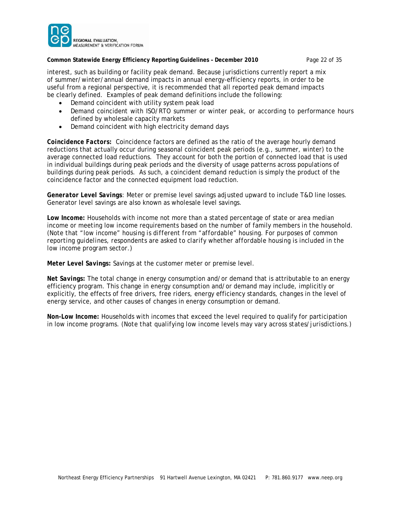

#### **Common Statewide Energy Efficiency Reporting Guidelines – December 2010** Page 22 of 35

interest, such as building or facility peak demand. Because jurisdictions currently report a mix of summer/winter/annual demand impacts in annual energy-efficiency reports, in order to be useful from a regional perspective, it is recommended that all reported peak demand impacts be clearly defined. Examples of peak demand definitions include the following:

- Demand coincident with utility system peak load
- Demand coincident with ISO/RTO summer or winter peak, or according to performance hours defined by wholesale capacity markets
- Demand coincident with high electricity demand days

*Coincidence Factors:* Coincidence factors are defined as the ratio of the average hourly demand reductions that actually occur during seasonal coincident peak periods (e.g., summer, winter) to the average connected load reductions. They account for both the portion of connected load that is used in individual buildings during peak periods and the diversity of usage patterns across populations of buildings during peak periods. As such, a coincident demand reduction is simply the product of the coincidence factor and the connected equipment load reduction.

*Generator Level Savings:* Meter or premise level savings adjusted upward to include T&D line losses. Generator level savings are also known as wholesale level savings.

Low Income: Households with income not more than a stated percentage of state or area median income or meeting low income requirements based on the number of family members in the household. (*Note that "low income" housing is different from "affordable" housing. For purposes of common reporting guidelines, respondents are asked to clarify whether affordable housing is included in the low income program sector.*)

*Meter Level Savings:* Savings at the customer meter or premise level.

*Net Savings:* The total change in energy consumption and/or demand that is attributable to an energy efficiency program. This change in energy consumption and/or demand may include, implicitly or explicitly, the effects of free drivers, free riders, energy efficiency standards, changes in the level of energy service, and other causes of changes in energy consumption or demand.

*Non-Low Income:* Households with incomes that exceed the level required to qualify for participation in low income programs. (*Note that qualifying low income levels may vary across states/jurisdictions.*)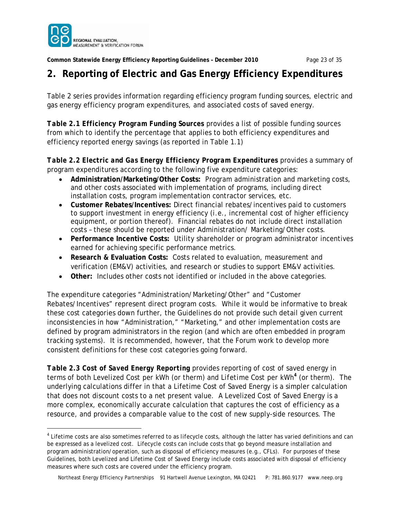

 $\overline{a}$ 

**Common Statewide Energy Efficiency Reporting Guidelines – December 2010** Page 23 of 35

# **2. Reporting of Electric and Gas Energy Efficiency Expenditures**

Table 2 series provides information regarding efficiency program funding sources, electric and gas energy efficiency program expenditures, and associated costs of saved energy.

*Table 2.1 Efficiency Program Funding Sources* provides a list of possible funding sources from which to identify the percentage that applies to both efficiency expenditures and efficiency reported energy savings (as reported in Table 1.1)

Table 2.2 Electric and Gas Energy Efficiency Program Expenditures provides a summary of program expenditures according to the following five expenditure categories:

- **Administration/Marketing/Other Costs:** Program administration and marketing costs, and other costs associated with implementation of programs, including direct installation costs, program implementation contractor services, etc.
- **Customer Rebates/Incentives:** Direct financial rebates/incentives paid to customers to support investment in energy efficiency (i.e., incremental cost of higher efficiency equipment, or portion thereof). Financial rebates do *not* include direct installation costs – these should be reported under Administration/ Marketing/Other costs.
- **Performance Incentive Costs:** Utility shareholder or program administrator incentives earned for achieving specific performance metrics.
- **Research & Evaluation Costs:** Costs related to evaluation, measurement and verification (EM&V) activities, and research or studies to support EM&V activities.
- **Other:** Includes other costs not identified or included in the above categories.

The expenditure categories "Administration/Marketing/Other" and "Customer Rebates/Incentives" represent direct program costs. While it would be informative to break these cost categories down further, the Guidelines do not provide such detail given current inconsistencies in how "Administration," "Marketing," and other implementation costs are defined by program administrators in the region (and which are often embedded in program tracking systems). It is recommended, however, that the Forum work to develop more consistent definitions for these cost categories going forward.

*Table 2.3 Cost of Saved Energy Reporting* provides reporting of cost of saved energy in terms of both *Levelized Cost per kWh* (or therm) and *Lifetime Cost per kWh<sup>4</sup>* (or therm). The underlying calculations differ in that a Lifetime Cost of Saved Energy is a simpler calculation that does not discount costs to a net present value. A Levelized Cost of Saved Energy is a more complex, economically accurate calculation that captures the cost of efficiency as a resource, and provides a comparable value to the cost of new supply-side resources. The

<sup>4</sup> Lifetime costs are also sometimes referred to as *lifecycle* costs, although the latter has varied definitions and can be expressed as a levelized cost. Lifecycle costs can include costs that go beyond measure installation and program administration/operation, such as disposal of efficiency measures (e.g., CFLs). For purposes of these Guidelines, both Levelized and Lifetime Cost of Saved Energy include costs associated with disposal of efficiency measures where such costs are covered under the efficiency program.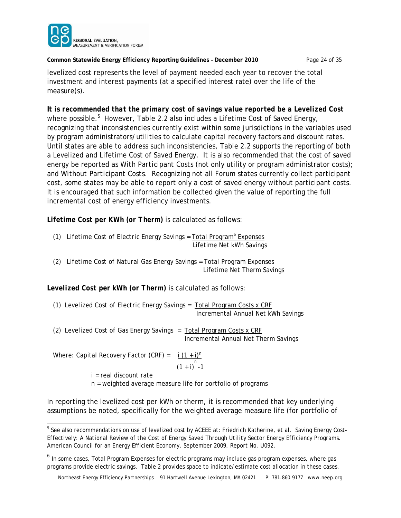

**Common Statewide Energy Efficiency Reporting Guidelines – December 2010** Page 24 of 35

levelized cost represents the level of payment needed each year to recover the total investment and interest payments (at a specified interest rate) over the life of the measure(s).

*It is recommended that the primary cost of savings value reported be a Levelized Cost* where possible.<sup>5</sup> However, Table 2.2 also includes a Lifetime Cost of Saved Energy, recognizing that inconsistencies currently exist within some jurisdictions in the variables used by program administrators/utilities to calculate capital recovery factors and discount rates. Until states are able to address such inconsistencies, Table 2.2 supports the reporting of both a Levelized and Lifetime Cost of Saved Energy. It is also recommended that the cost of saved energy be reported as *With Participant Costs* (not only utility or program administrator costs); and *Without Participant Costs*. Recognizing not all Forum states currently collect participant cost, some states may be able to report only a cost of saved energy without participant costs. It is encouraged that such information be collected given the value of reporting the full incremental cost of energy efficiency investments.

*Lifetime Cost per KWh (or Therm)* is calculated as follows:

- (1) Lifetime Cost of Electric Energy Savings = Total Program<sup>6</sup> Expenses Lifetime Net kWh Savings
- *(2) Lifetime Cost of Natural Gas Energy Savings =* Total Program Expenses Lifetime Net Therm Savings

*Levelized Cost per kWh (or Therm)* is calculated as follows:

*(1) Levelized Cost of Electric Energy Savings* = Total Program Costs x CRF Incremental Annual Net kWh Savings

*(2) Levelized Cost of Gas Energy Savings* = Total Program Costs x CRF Incremental Annual Net Therm Savings

Where: Capital Recovery Factor (CRF) =  $i (1 + i)^n$  $(1 + i)^n - 1$ 

i = real discount rate n = weighted average measure life for portfolio of programs

In reporting the levelized cost per kWh or therm, it is recommended that key underlying assumptions be noted, specifically for the weighted average measure life (for portfolio of

 5 See also recommendations on use of levelized cost by ACEEE at: Friedrich Katherine, et al. *Saving Energy Cost-Effectively: A National Review of the Cost of Energy Saved Through Utility Sector Energy Efficiency Programs.*  American Council for an Energy Efficient Economy. September 2009, Report No. U092.

<sup>&</sup>lt;sup>6</sup> In some cases, Total Program Expenses for electric programs may include gas program expenses, where gas programs provide electric savings. Table 2 provides space to indicate/estimate cost allocation in these cases.

Northeast Energy Efficiency Partnerships 91 Hartwell Avenue Lexington, MA 02421 P: 781.860.9177 www.neep.org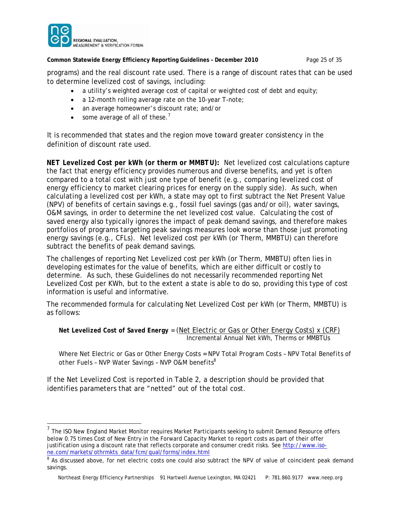

 $\overline{a}$ 

**Common Statewide Energy Efficiency Reporting Guidelines – December 2010** Page 25 of 35

programs) and the real discount rate used. There is a range of discount rates that can be used to determine levelized cost of savings, including:

- a utility's weighted average cost of capital or weighted cost of debt and equity;
- a 12-month rolling average rate on the 10-year T-note;
- an average homeowner's discount rate; and/or
- $\bullet$  some average of all of these.<sup>7</sup>

It is recommended that states and the region move toward greater consistency in the definition of discount rate used.

*NET Levelized Cost per kWh (or therm or MMBTU):* Net levelized cost calculations capture the fact that energy efficiency provides numerous and diverse benefits, and yet is often compared to a total cost with just one type of benefit (e.g., comparing levelized cost of energy efficiency to market clearing prices for energy on the supply side). As such, when calculating a levelized cost per kWh, a state may opt to first subtract the Net Present Value (NPV) of benefits of certain savings e.g., fossil fuel savings (gas and/or oil), water savings, O&M savings, in order to determine the net levelized cost value. Calculating the cost of saved energy also typically ignores the impact of peak demand savings, and therefore makes portfolios of programs targeting peak savings measures look worse than those just promoting energy savings (e.g., CFLs). Net levelized cost per kWh (or Therm, MMBTU) can therefore subtract the benefits of peak demand savings.

The challenges of reporting Net Levelized cost per kWh (or Therm, MMBTU) often lies in developing estimates for the value of benefits, which are either difficult or costly to determine. As such, these Guidelines do not necessarily recommended reporting Net Levelized Cost per KWh, but to the extent a state is able to do so, providing this type of cost information is useful and informative.

The recommended formula for calculating Net Levelized Cost per kWh (or Therm, MMBTU) is as follows:

```
Net Levelized Cost of Saved Energy = (Net Electric or Gas or Other Energy Costs) x (CRF)
                             Incremental Annual Net kWh, Therms or MMBTUs
```
Where Net Electric or Gas or Other Energy Costs = *NPV Total Program Costs – NPV Total Benefits of other Fuels – NVP Water Savings – NVP O&M benefits*<sup>8</sup> 

If the Net Levelized Cost is reported in Table 2, a description should be provided that identifies parameters that are "netted" out of the total cost.

 $<sup>7</sup>$  The ISO New England Market Monitor requires Market Participants seeking to submit Demand Resource offers</sup> below 0.75 times Cost of New Entry in the Forward Capacity Market to report costs as part of their offer justification using a discount rate that reflects corporate and consumer credit risks. See http://www.isone.com/markets/othrmkts\_data/fcm/qual/forms/index.html

<sup>&</sup>lt;sup>8</sup> As discussed above, for net electric costs one could also subtract the NPV of value of coincident peak demand savings.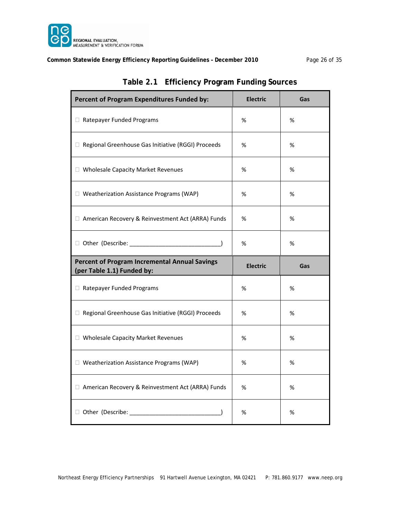

### **Common Statewide Energy Efficiency Reporting Guidelines – December 2010** Page 26 of 35

| Percent of Program Expenditures Funded by:                                         | <b>Electric</b> | Gas |
|------------------------------------------------------------------------------------|-----------------|-----|
| Ratepayer Funded Programs                                                          | %               | %   |
| □ Regional Greenhouse Gas Initiative (RGGI) Proceeds                               | %               | %   |
| □ Wholesale Capacity Market Revenues                                               | %               | %   |
| □ Weatherization Assistance Programs (WAP)                                         | %               | %   |
| □ American Recovery & Reinvestment Act (ARRA) Funds                                | %               | %   |
|                                                                                    | %               | %   |
| <b>Percent of Program Incremental Annual Savings</b><br>(per Table 1.1) Funded by: | <b>Electric</b> | Gas |
| Ratepayer Funded Programs                                                          | %               | %   |
| □ Regional Greenhouse Gas Initiative (RGGI) Proceeds                               | %               | %   |
| □ Wholesale Capacity Market Revenues                                               | %               | %   |
| □ Weatherization Assistance Programs (WAP)                                         | %               | %   |
| □ American Recovery & Reinvestment Act (ARRA) Funds                                | %               | %   |
| D Other (Describe: 1999)                                                           | %               | %   |

## **Table 2.1 Efficiency Program Funding Sources**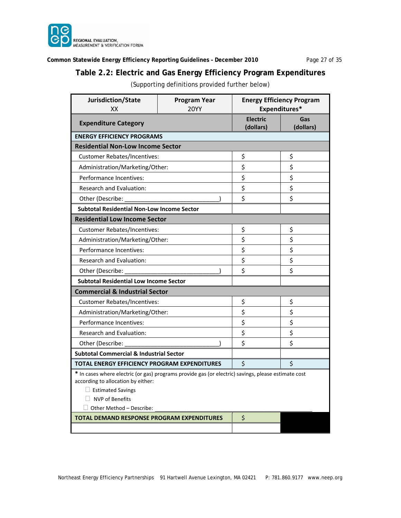

### **Common Statewide Energy Efficiency Reporting Guidelines – December 2010** Page 27 of 35

# **Table 2.2: Electric and Gas Energy Efficiency Program Expenditures**

(Supporting definitions provided further below)

| Jurisdiction/State<br>XX                                                                                                                                                                                                           | <b>Energy Efficiency Program</b><br>Expenditures* |                  |    |  |
|------------------------------------------------------------------------------------------------------------------------------------------------------------------------------------------------------------------------------------|---------------------------------------------------|------------------|----|--|
| <b>Expenditure Category</b>                                                                                                                                                                                                        | <b>Electric</b><br>(dollars)                      | Gas<br>(dollars) |    |  |
| <b>ENERGY EFFICIENCY PROGRAMS</b>                                                                                                                                                                                                  |                                                   |                  |    |  |
| <b>Residential Non-Low Income Sector</b>                                                                                                                                                                                           |                                                   |                  |    |  |
| <b>Customer Rebates/Incentives:</b>                                                                                                                                                                                                |                                                   | \$               | \$ |  |
| Administration/Marketing/Other:                                                                                                                                                                                                    |                                                   | \$               | \$ |  |
| Performance Incentives:                                                                                                                                                                                                            |                                                   | \$               | \$ |  |
| <b>Research and Evaluation:</b>                                                                                                                                                                                                    |                                                   | \$               | \$ |  |
| Other (Describe:                                                                                                                                                                                                                   |                                                   | \$               | \$ |  |
| <b>Subtotal Residential Non-Low Income Sector</b>                                                                                                                                                                                  |                                                   |                  |    |  |
| <b>Residential Low Income Sector</b>                                                                                                                                                                                               |                                                   |                  |    |  |
| Customer Rebates/Incentives:                                                                                                                                                                                                       |                                                   | \$               | \$ |  |
| Administration/Marketing/Other:                                                                                                                                                                                                    |                                                   | \$               | \$ |  |
| Performance Incentives:                                                                                                                                                                                                            |                                                   | \$               | \$ |  |
| <b>Research and Evaluation:</b>                                                                                                                                                                                                    |                                                   | \$               | \$ |  |
| Other (Describe:                                                                                                                                                                                                                   |                                                   | Ś                | \$ |  |
| <b>Subtotal Residential Low Income Sector</b>                                                                                                                                                                                      |                                                   |                  |    |  |
| <b>Commercial &amp; Industrial Sector</b>                                                                                                                                                                                          |                                                   |                  |    |  |
| Customer Rebates/Incentives:                                                                                                                                                                                                       |                                                   | \$               | \$ |  |
| Administration/Marketing/Other:                                                                                                                                                                                                    |                                                   | \$               | \$ |  |
| Performance Incentives:                                                                                                                                                                                                            |                                                   | \$               | \$ |  |
| Research and Evaluation:                                                                                                                                                                                                           |                                                   | \$               | \$ |  |
| Other (Describe:                                                                                                                                                                                                                   |                                                   | \$               | \$ |  |
| <b>Subtotal Commercial &amp; Industrial Sector</b>                                                                                                                                                                                 |                                                   |                  |    |  |
| <b>TOTAL ENERGY EFFICIENCY PROGRAM EXPENDITURES</b>                                                                                                                                                                                |                                                   | \$               | Ś  |  |
| * In cases where electric (or gas) programs provide gas (or electric) savings, please estimate cost<br>according to allocation by either:<br>$\Box$ Estimated Savings<br>$\Box$ NVP of Benefits<br>$\Box$ Other Method – Describe: |                                                   |                  |    |  |
| <b>TOTAL DEMAND RESPONSE PROGRAM EXPENDITURES</b>                                                                                                                                                                                  |                                                   | \$               |    |  |
|                                                                                                                                                                                                                                    |                                                   |                  |    |  |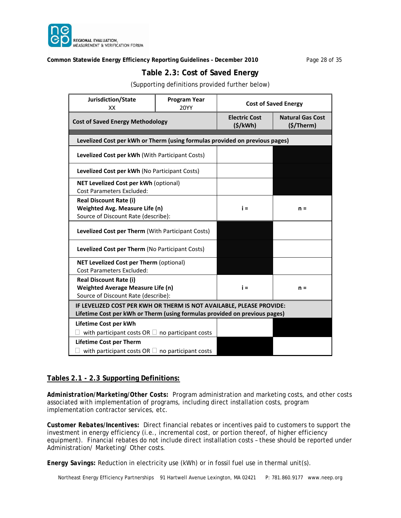

#### **Common Statewide Energy Efficiency Reporting Guidelines – December 2010** Page 28 of 35

# **Table 2.3: Cost of Saved Energy**

(Supporting definitions provided further below)

| Jurisdiction/State<br>XX                                                                                                                           | <b>Program Year</b><br><b>20YY</b> | <b>Cost of Saved Energy</b>     |                                             |  |
|----------------------------------------------------------------------------------------------------------------------------------------------------|------------------------------------|---------------------------------|---------------------------------------------|--|
| <b>Cost of Saved Energy Methodology</b>                                                                                                            |                                    | <b>Electric Cost</b><br>(5/kWh) | <b>Natural Gas Cost</b><br>$($ \$/Therm $)$ |  |
| Levelized Cost per kWh or Therm (using formulas provided on previous pages)                                                                        |                                    |                                 |                                             |  |
| Levelized Cost per kWh (With Participant Costs)                                                                                                    |                                    |                                 |                                             |  |
| Levelized Cost per kWh (No Participant Costs)                                                                                                      |                                    |                                 |                                             |  |
| <b>NET Levelized Cost per kWh (optional)</b><br><b>Cost Parameters Excluded:</b>                                                                   |                                    |                                 |                                             |  |
| <b>Real Discount Rate (i)</b><br>Weighted Avg. Measure Life (n)<br>Source of Discount Rate (describe):                                             |                                    | $i =$                           | $n =$                                       |  |
| Levelized Cost per Therm (With Participant Costs)                                                                                                  |                                    |                                 |                                             |  |
| Levelized Cost per Therm (No Participant Costs)                                                                                                    |                                    |                                 |                                             |  |
| NET Levelized Cost per Therm (optional)<br><b>Cost Parameters Excluded:</b>                                                                        |                                    |                                 |                                             |  |
| <b>Real Discount Rate (i)</b><br>Weighted Average Measure Life (n)<br>Source of Discount Rate (describe):                                          |                                    | i =                             | $n =$                                       |  |
| IF LEVELIZED COST PER KWH OR THERM IS NOT AVAILABLE, PLEASE PROVIDE:<br>Lifetime Cost per kWh or Therm (using formulas provided on previous pages) |                                    |                                 |                                             |  |
| Lifetime Cost per kWh<br>with participant costs OR $\Box$ no participant costs                                                                     |                                    |                                 |                                             |  |
| <b>Lifetime Cost per Therm</b><br>with participant costs OR $\Box$ no participant costs                                                            |                                    |                                 |                                             |  |

#### **Tables 2.1 - 2.3 Supporting Definitions:**

*Administration/Marketing/Other Costs:* Program administration and marketing costs, and other costs associated with implementation of programs, including direct installation costs, program implementation contractor services, etc.

*Customer Rebates/Incentives:* Direct financial rebates or incentives paid to customers to support the investment in energy efficiency (i.e., incremental cost, or portion thereof, of higher efficiency equipment). Financial rebates do *not* include direct installation costs – these should be reported under Administration/ Marketing/ Other costs.

*Energy Savings:* Reduction in electricity use (kWh) or in fossil fuel use in thermal unit(s).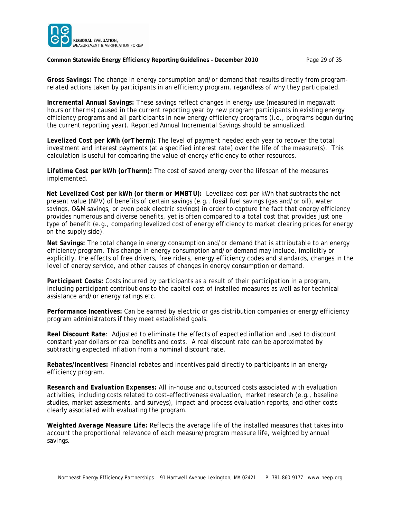

#### **Common Statewide Energy Efficiency Reporting Guidelines – December 2010** Page 29 of 35

*Gross Savings:* The change in energy consumption and/or demand that results directly from programrelated actions taken by participants in an efficiency program, regardless of why they participated.

*Incremental Annual Savings:* These savings reflect changes in energy use (measured in megawatt hours or therms) caused in the current reporting year by new program participants in existing energy efficiency programs and all participants in new energy efficiency programs (i.e., programs begun during the current reporting year). Reported Annual Incremental Savings should be annualized.

*Levelized Cost per kWh (orTherm):* The level of payment needed each year to recover the total investment and interest payments (at a specified interest rate) over the life of the measure(s). This calculation is useful for comparing the value of energy efficiency to other resources.

*Lifetime Cost per kWh (orTherm):* The cost of saved energy over the lifespan of the measures implemented.

*Net Levelized Cost per kWh (or therm or MMBTU):* Levelized cost per kWh that subtracts the net present value (NPV) of benefits of certain savings (e.g., fossil fuel savings (gas and/or oil), water savings, O&M savings, or even peak electric savings) in order to capture the fact that energy efficiency provides numerous and diverse benefits, yet is often compared to a total cost that provides just one type of benefit (e.g., comparing levelized cost of energy efficiency to market clearing prices for energy on the supply side).

*Net Savings:* The total change in energy consumption and/or demand that is attributable to an energy efficiency program. This change in energy consumption and/or demand may include, implicitly or explicitly, the effects of free drivers, free riders, energy efficiency codes and standards, changes in the level of energy service, and other causes of changes in energy consumption or demand.

*Participant Costs:* Costs incurred by participants as a result of their participation in a program, including participant contributions to the capital cost of installed measures as well as for technical assistance and/or energy ratings etc.

*Performance Incentives:* Can be earned by electric or gas distribution companies or energy efficiency program administrators if they meet established goals.

*Real Discount Rate:* Adjusted to eliminate the effects of expected inflation and used to discount constant year dollars or real benefits and costs. A real discount rate can be approximated by subtracting expected inflation from a nominal discount rate.

*Rebates/Incentives:* Financial rebates and incentives paid directly to participants in an energy efficiency program.

*Research and Evaluation Expenses:* All in-house and outsourced costs associated with evaluation activities, including costs related to cost-effectiveness evaluation, market research (e.g., baseline studies, market assessments, and surveys), impact and process evaluation reports, and other costs clearly associated with evaluating the program.

*Weighted Average Measure Life:* Reflects the average life of the installed measures that takes into account the proportional relevance of each measure/program measure life, weighted by annual savings.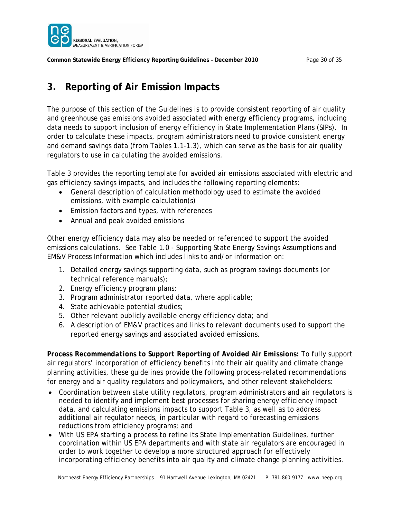

**Common Statewide Energy Efficiency Reporting Guidelines – December 2010** Page 30 of 35

# **3. Reporting of Air Emission Impacts**

The purpose of this section of the Guidelines is to provide consistent reporting of air quality and greenhouse gas emissions avoided associated with energy efficiency programs, including data needs to support inclusion of energy efficiency in State Implementation Plans (SIPs). In order to calculate these impacts, program administrators need to provide consistent energy and demand savings data (from Tables 1.1-1.3), which can serve as the basis for air quality regulators to use in calculating the avoided emissions.

Table 3 provides the reporting template for avoided air emissions associated with electric and gas efficiency savings impacts, and includes the following reporting elements:

- General description of calculation methodology used to estimate the avoided emissions, with example calculation(s)
- **•** Emission factors and types, with references
- Annual and peak avoided emissions

Other energy efficiency data may also be needed or referenced to support the avoided emissions calculations. See Table 1.0 - *Supporting State Energy Savings Assumptions and EM&V Process Information* which includes links to and/or information on:

- 1. Detailed energy savings supporting data, such as program savings documents (or technical reference manuals);
- 2. Energy efficiency program plans;
- 3. Program administrator reported data, where applicable;
- 4. State achievable potential studies;
- 5. Other relevant publicly available energy efficiency data; and
- 6. A description of EM&V practices and links to relevant documents used to support the reported energy savings and associated avoided emissions.

*Process Recommendations to Support Reporting of Avoided Air Emissions:* To fully support air regulators' incorporation of efficiency benefits into their air quality and climate change planning activities, these guidelines provide the following process-related recommendations for energy and air quality regulators and policymakers, and other relevant stakeholders:

- Coordination between state utility regulators, program administrators and air regulators is needed to identify and implement best processes for sharing energy efficiency impact data, and calculating emissions impacts to support Table 3, as well as to address additional air regulator needs, in particular with regard to forecasting emissions reductions from efficiency programs; and
- With US EPA starting a process to refine its State Implementation Guidelines, further coordination within US EPA departments and with state air regulators are encouraged in order to work together to develop a more structured approach for effectively incorporating efficiency benefits into air quality and climate change planning activities.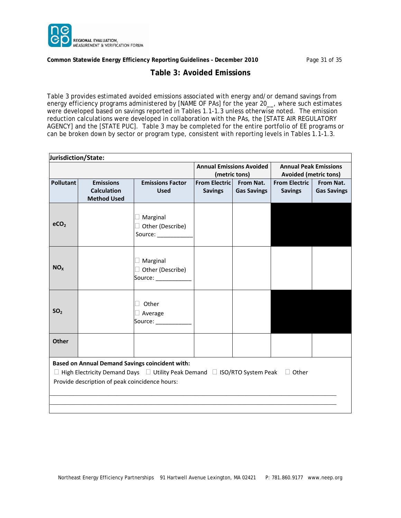

**Common Statewide Energy Efficiency Reporting Guidelines – December 2010** Page 31 of 35

### **Table 3: Avoided Emissions**

Table 3 provides estimated avoided emissions associated with energy and/or demand savings from energy efficiency programs administered by [NAME OF PAs] for the year 20\_\_, where such estimates were developed based on savings reported in Tables 1.1-1.3 unless otherwise noted. The emission reduction calculations were developed in collaboration with the PAs, the [STATE AIR REGULATORY AGENCY] and the [STATE PUC]. Table 3 may be completed for the entire portfolio of EE programs or can be broken down by sector or program type, consistent with reporting levels in Tables 1.1-1.3.

| Jurisdiction/State:                                    |                                                |                                                                                                        |                      |                                 |                                                              |                                 |  |  |
|--------------------------------------------------------|------------------------------------------------|--------------------------------------------------------------------------------------------------------|----------------------|---------------------------------|--------------------------------------------------------------|---------------------------------|--|--|
|                                                        |                                                |                                                                                                        |                      | <b>Annual Emissions Avoided</b> | <b>Annual Peak Emissions</b><br><b>Avoided (metric tons)</b> |                                 |  |  |
|                                                        |                                                |                                                                                                        |                      | (metric tons)                   |                                                              |                                 |  |  |
| <b>Pollutant</b>                                       | <b>Emissions</b><br><b>Calculation</b>         | <b>Emissions Factor</b><br><b>Used</b>                                                                 | <b>From Electric</b> | From Nat.<br><b>Gas Savings</b> | <b>From Electric</b>                                         | From Nat.<br><b>Gas Savings</b> |  |  |
|                                                        | <b>Method Used</b>                             |                                                                                                        | <b>Savings</b>       |                                 | <b>Savings</b>                                               |                                 |  |  |
|                                                        |                                                |                                                                                                        |                      |                                 |                                                              |                                 |  |  |
|                                                        |                                                |                                                                                                        |                      |                                 |                                                              |                                 |  |  |
| eCO <sub>2</sub>                                       |                                                | $\Box$ Marginal                                                                                        |                      |                                 |                                                              |                                 |  |  |
|                                                        |                                                | □ Other (Describe)                                                                                     |                      |                                 |                                                              |                                 |  |  |
|                                                        |                                                | Source:                                                                                                |                      |                                 |                                                              |                                 |  |  |
|                                                        |                                                |                                                                                                        |                      |                                 |                                                              |                                 |  |  |
|                                                        |                                                | $\Box$ Marginal                                                                                        |                      |                                 |                                                              |                                 |  |  |
| NO <sub>x</sub>                                        |                                                | □ Other (Describe)                                                                                     |                      |                                 |                                                              |                                 |  |  |
|                                                        |                                                | Source: <b>Source: Source:</b>                                                                         |                      |                                 |                                                              |                                 |  |  |
|                                                        |                                                |                                                                                                        |                      |                                 |                                                              |                                 |  |  |
|                                                        |                                                | Other                                                                                                  |                      |                                 |                                                              |                                 |  |  |
| SO <sub>2</sub>                                        |                                                |                                                                                                        |                      |                                 |                                                              |                                 |  |  |
|                                                        |                                                | $\Box$ Average                                                                                         |                      |                                 |                                                              |                                 |  |  |
|                                                        |                                                | Source: _______                                                                                        |                      |                                 |                                                              |                                 |  |  |
| <b>Other</b>                                           |                                                |                                                                                                        |                      |                                 |                                                              |                                 |  |  |
|                                                        |                                                |                                                                                                        |                      |                                 |                                                              |                                 |  |  |
| <b>Based on Annual Demand Savings coincident with:</b> |                                                |                                                                                                        |                      |                                 |                                                              |                                 |  |  |
|                                                        |                                                | $\Box$ High Electricity Demand Days $\Box$ Utility Peak Demand $\Box$ ISO/RTO System Peak $\Box$ Other |                      |                                 |                                                              |                                 |  |  |
|                                                        | Provide description of peak coincidence hours: |                                                                                                        |                      |                                 |                                                              |                                 |  |  |
|                                                        |                                                |                                                                                                        |                      |                                 |                                                              |                                 |  |  |
|                                                        |                                                |                                                                                                        |                      |                                 |                                                              |                                 |  |  |
|                                                        |                                                |                                                                                                        |                      |                                 |                                                              |                                 |  |  |
|                                                        |                                                |                                                                                                        |                      |                                 |                                                              |                                 |  |  |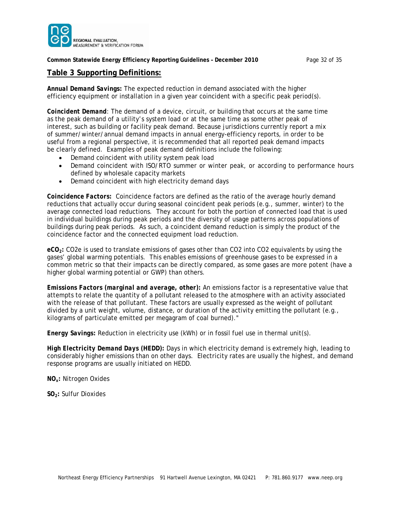

#### **Common Statewide Energy Efficiency Reporting Guidelines – December 2010** Page 32 of 35

### **Table 3 Supporting Definitions:**

*Annual Demand Savings:* The expected reduction in demand associated with the higher efficiency equipment or installation in a given year coincident with a specific peak period(s).

*Coincident Demand:* The demand of a device, circuit, or building that occurs at the same time as the peak demand of a utility's system load or at the same time as some other peak of interest, such as building or facility peak demand. Because jurisdictions currently report a mix of summer/winter/annual demand impacts in annual energy-efficiency reports, in order to be useful from a regional perspective, it is recommended that all reported peak demand impacts be clearly defined. Examples of peak demand definitions include the following:

- Demand coincident with utility system peak load
- Demand coincident with ISO/RTO summer or winter peak, or according to performance hours defined by wholesale capacity markets
- Demand coincident with high electricity demand days

*Coincidence Factors:* Coincidence factors are defined as the ratio of the average hourly demand reductions that actually occur during seasonal coincident peak periods (e.g., summer, winter) to the average connected load reductions. They account for both the portion of connected load that is used in individual buildings during peak periods and the diversity of usage patterns across populations of buildings during peak periods. As such, a coincident demand reduction is simply the product of the coincidence factor and the connected equipment load reduction.

*eCO2:* CO2e is used to translate emissions of gases other than CO2 into CO2 equivalents by using the gases' global warming potentials. This enables emissions of greenhouse gases to be expressed in a common metric so that their impacts can be directly compared, as some gases are more potent (have a higher global warming potential or GWP) than others.

*Emissions Factors (marginal and average, other):* An emissions factor is a representative value that attempts to relate the quantity of a pollutant released to the atmosphere with an activity associated with the release of that pollutant. These factors are usually expressed as the weight of pollutant divided by a unit weight, volume, distance, or duration of the activity emitting the pollutant (e.g., kilograms of particulate emitted per megagram of coal burned)."

*Energy Savings:* Reduction in electricity use (kWh) or in fossil fuel use in thermal unit(s).

*High Electricity Demand Days (HEDD):* Days in which electricity demand is extremely high, leading to considerably higher emissions than on other days. Electricity rates are usually the highest, and demand response programs are usually initiated on HEDD.

*NOx:* Nitrogen Oxides

*SO2:* Sulfur Dioxides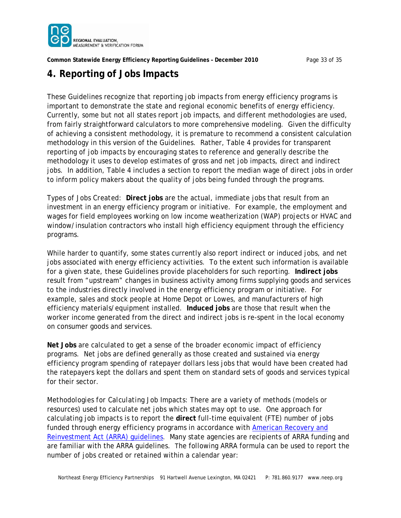

**Common Statewide Energy Efficiency Reporting Guidelines – December 2010** Page 33 of 35

# **4. Reporting of Jobs Impacts**

These Guidelines recognize that reporting job impacts from energy efficiency programs is important to demonstrate the state and regional economic benefits of energy efficiency. Currently, some but not all states report job impacts, and different methodologies are used, from fairly straightforward calculators to more comprehensive modeling. Given the difficulty of achieving a consistent methodology, it is premature to recommend a consistent calculation methodology in this version of the Guidelines. Rather, Table 4 provides for transparent reporting of job impacts by encouraging states to reference and generally describe the methodology it uses to develop estimates of gross and net job impacts, direct and indirect jobs. In addition, Table 4 includes a section to report the median wage of direct jobs in order to inform policy makers about the quality of jobs being funded through the programs.

*Types of Jobs Created:* **Direct jobs** are the actual, immediate jobs that result from an investment in an energy efficiency program or initiative. For example, the employment and wages for field employees working on low income weatherization (WAP) projects or HVAC and window/insulation contractors who install high efficiency equipment through the efficiency programs.

While harder to quantify, some states currently also report indirect or induced jobs, and net jobs associated with energy efficiency activities. To the extent such information is available for a given state, these Guidelines provide placeholders for such reporting. **Indirect jobs** result from "upstream" changes in business activity among firms supplying goods and services to the industries directly involved in the energy efficiency program or initiative. For example, sales and stock people at Home Depot or Lowes, and manufacturers of high efficiency materials/equipment installed. **Induced jobs** are those that result when the worker income generated from the direct and indirect jobs is re-spent in the local economy on consumer goods and services.

**Net Jobs** are calculated to get a sense of the broader economic impact of efficiency programs. Net jobs are defined generally as those created and sustained via energy efficiency program spending of ratepayer dollars *less* jobs that would have been created had the ratepayers kept the dollars and spent them on standard sets of goods and services typical for their sector.

*Methodologies for Calculating Job Impacts:* There are a variety of methods (models or resources) used to calculate net jobs which states may opt to use. One approach for calculating job impacts is to report the **direct** full-time equivalent (FTE) number of jobs [funded through energy efficiency programs in accordance with American Recovery and](http://www.energy.gov/recovery/ARRA_Reporting_Requirements.htm) Reinvestment Act (ARRA) guidelines. Many state agencies are recipients of ARRA funding and are familiar with the ARRA guidelines. The following ARRA formula can be used to report the number of jobs created or retained within a calendar year: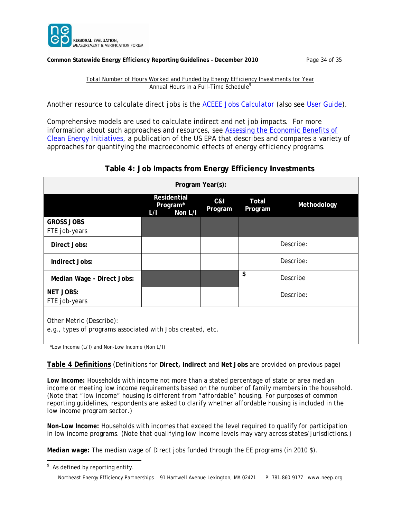

#### **Common Statewide Energy Efficiency Reporting Guidelines – December 2010** Page 34 of 35

*Total Number of Hours Worked and Funded by Energy Efficiency Investments for Year Annual Hours in a Full-Time Schedule<sup>9</sup>*

Another resource to calculate direct jobs is the **ACEEE Jobs Calculator** (also see [User Guide\)](http://www.aceee.org/sites/default/files/publications/otherpdfs/ACEEE%20Stimulus%20Job%20Calculator%20Users%20Guide%20July%202009.pdf).

Comprehensive models are used to calculate indirect and net job impacts. For more information about such approaches and resources, see Assessing the Economic Benefits of [Clean Energy Initiatives, a publication of the US EPA that describes and compares a variet](http://epa.gov/statelocalclimate/documents/pdf/epa_assessing_benefits_ch5.pdf)y of approaches for quantifying the macroeconomic effects of energy efficiency programs.

# **Table 4: Job Impacts from Energy Efficiency Investments**

| Program Year(s):                                                                       |     |                                    |                |                  |             |  |  |
|----------------------------------------------------------------------------------------|-----|------------------------------------|----------------|------------------|-------------|--|--|
|                                                                                        | L/I | Residential<br>Program*<br>Non L/I | C&I<br>Program | Total<br>Program | Methodology |  |  |
| <b>GROSS JOBS</b><br>FTE job-years                                                     |     |                                    |                |                  |             |  |  |
| Direct Jobs:                                                                           |     |                                    |                |                  | Describe:   |  |  |
| Indirect Jobs:                                                                         |     |                                    |                |                  | Describe:   |  |  |
| Median Wage - Direct Jobs:                                                             |     |                                    |                | \$               | Describe    |  |  |
| <b>NET JOBS:</b><br>FTE job-years                                                      |     |                                    |                |                  | Describe:   |  |  |
| Other Metric (Describe):<br>e.g., types of programs associated with Jobs created, etc. |     |                                    |                |                  |             |  |  |

\*Low Income (L/I) and Non-Low Income (Non L/I)

#### **Table 4 Definitions** (Definitions for **Direct, Indirect** and **Net Jobs** are provided on previous page)

Low Income: Households with income not more than a stated percentage of state or area median income or meeting low income requirements based on the number of family members in the household. (*Note that "low income" housing is different from "affordable" housing. For purposes of common reporting guidelines, respondents are asked to clarify whether affordable housing is included in the low income program sector.*)

*Non-Low Income:* Households with incomes that exceed the level required to qualify for participation in low income programs. (*Note that qualifying low income levels may vary across states/jurisdictions.*)

*Median wage:* The median wage of Direct jobs funded through the EE programs (in 2010 \$).

 $\overline{a}$ 

 $9$  As defined by reporting entity.